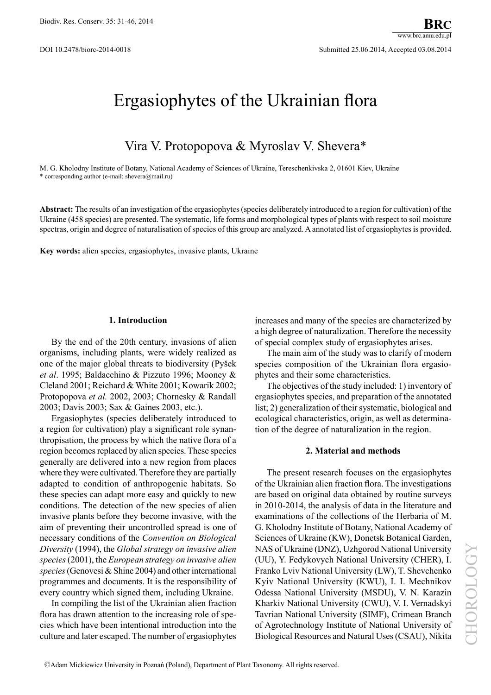# Ergasiophytes of the Ukrainian flora

# Vira V. Protopopova & Myroslav V. Shevera\*

M. G. Kholodny Institute of Botany, National Academy of Sciences of Ukraine, Tereschenkiyska 2, 01601 Kiev, Ukraine \* corresponding author (e-mail: shevera@mail.ru)

Abstract: The results of an investigation of the ergasiophytes (species deliberately introduced to a region for cultivation) of the Ukraine (458 species) are presented. The systematic, life forms and morphological types of plants with respect to soil moisture spectras, origin and degree of naturalisation of species of this group are analyzed. A annotated list of ergasiophytes is provided.

**Key words:** alien species, ergasiophytes, invasive plants, Ukraine

### **1. Introduction**

By the end of the 20th century, invasions of alien organisms, including plants, were widely realized as one of the major global threats to biodiversity (Pyšek *et al.* 1995; Baldacchino & Pizzuto 1996; Mooney & Cleland 2001; Reichard & White 2001; Kowarik 2002; Protopopova et al. 2002, 2003; Chornesky & Randall 2003; Davis 2003; Sax & Gaines 2003, etc.).

Ergasiophytes (species deliberately introduced to a region for cultivation) play a significant role synanthropisation, the process by which the native flora of a region becomes replaced by alien species. These species generally are delivered into a new region from places where they were cultivated. Therefore they are partially adapted to condition of anthropogenic habitats. So these species can adapt more easy and quickly to new conditions. The detection of the new species of alien invasive plants before they become invasive, with the aim of preventing their uncontrolled spread is one of necessary conditions of the *Convention on Biological Diversity* (1994), the *Global strategy on invasive alien species* (2001), the *European strategy on invasive alien species* (Genovesi & Shine 2004) and other international programmes and documents. It is the responsibility of every country which signed them, including Ukraine.

In compiling the list of the Ukrainian alien fraction flora has drawn attention to the increasing role of species which have been intentional introduction into the culture and later escaped. The number of ergasiophytes increases and many of the species are characterized by a high degree of naturalization. Therefore the necessity of special complex study of ergasiophytes arises.

 The main aim of the study was to clarify of modern species composition of the Ukrainian flora ergasiophytes and their some characteristics.

The objectives of the study included: 1) inventory of ergasiophytes species, and preparation of the annotated list; 2) generalization of their systematic, biological and ecological characteristics, origin, as well as determina tion of the degree of naturalization in the region.

## **2. Material and methods**

 The present research focuses on the ergasiophytes of the Ukrainian alien fraction flora. The investigations are based on original data obtained by routine surveys in 2010-2014, the analysis of data in the literature and examinations of the collections of the Herbaria of M. G. Kholodny Institute of Botany, National Academy of Sciences of Ukraine (KW), Donetsk Botanical Garden, NAS of Ukraine (DNZ), Uzhgorod National University (UU), Y. Fedykovych National University (CHER), I. Franko Lviv National University (LW), T. Shevchenko Kyiv National University (KWU), I. I. Mechnikov Odessa National University (MSDU), V. N. Karazin Kharkiv National University (CWU), V. I. Vernadskyi Tavrian National University (SIMF), Crimean Branch of Agrotechnology Institute of National University of Biological Resources and Natural Uses (CSAU), Nikita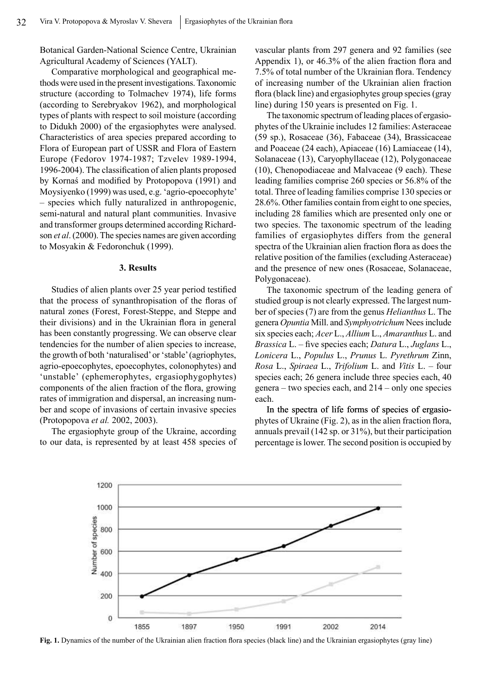Botanical Garden-National Science Centre, Ukrainian Agricultural Academy of Sciences (YALT).

Comparative morphological and geographical methods were used in the present investigations. Taxonomic structure (according to Tolmachev 1974), life forms (according to Serebryakov 1962), and morphological types of plants with respect to soil moisture (according to Didukh 2000) of the ergasiophytes were analysed. Characteristics of area species prepared according to Flora of European part of USSR and Flora of Eastern Europe (Fedorov 1974-1987; Tzvelev 1989-1994, 1996-2004). The classification of alien plants proposed by Kornaś and modified by Protopopova (1991) and Moysiyenko (1999) was used, e.g. 'agrio-epoecophyte' – species which fully naturalized in anthropogenic, semi-natural and natural plant communities. Invasive and transformer groups determined according Richard son *et al.* (2000). The species names are given according to Mosyakin & Fedoronchuk (1999).

#### **3. Results**

Studies of alien plants over 25 year period testified that the process of synanthropisation of the floras of natural zones (Forest, Forest-Steppe, and Steppe and their divisions) and in the Ukrainian flora in general has been constantly progressing. We can observe clear tendencies for the number of alien species to increase, the growth of both 'naturalised' or 'stable' (agriophytes, agrio-epoecophytes, epoecophytes, colonophytes) and 'unstable' (ephemerophytes, ergasiophygophytes) components of the alien fraction of the flora, growing rates of immigration and dispersal, an increasing num ber and scope of invasions of certain invasive species (Protopopova *et al.* 2002, 2003).

 The ergasiophyte group of the Ukraine, according to our data, is represented by at least 458 species of vascular plants from 297 genera and 92 families (see Appendix 1), or  $46.3\%$  of the alien fraction flora and 7.5% of total number of the Ukrainian flora. Tendency of increasing number of the Ukrainian alien fraction flora (black line) and ergasiophytes group species (gray line) during  $150$  years is presented on Fig. 1.

The taxonomic spectrum of leading places of ergasiophytes of the Ukrainie includes 12 families: Asteraceae (59 sp.), Rosaceae (36), Fabaceae (34), Brassicaceae and Poaceae (24 each), Apiaceae (16) Lamiaceae (14), Solanaceae (13), Caryophyllaceae (12), Polygonaceae  $(10)$ , Chenopodiaceae and Malvaceae  $(9 \text{ each})$ . These leading families comprise 260 species or 56.8% of the total. Three of leading families comprise 130 species or 28.6%. Other families contain from eight to one species, including 28 families which are presented only one or two species. The taxonomic spectrum of the leading families of ergasiophytes differs from the general spectra of the Ukrainian alien fraction flora as does the relative position of the families (excluding Asteraceae) and the presence of new ones (Rosaceae, Solanaceae, Polygonaceae).

 The taxonomic spectrum of the leading genera of studied group is not clearly expressed. The largest number of species (7) are from the genus *Helianthus* L. The genera *Opuntia* Mill. and *Symphyotrichum* Nees include six species each; *Acer* L., *Allium* L., *Amaranthus* L. and *Brassica* L. – five species each; *Datura* L., *Juglans* L., *Lonicera* L., *Populus* L., *Prunus* L. *Pyrethrum* Zinn, *Rosa* L., *Spiraea* L., *Trifolium* L. and *Vitis* L. – four species each;  $26$  genera include three species each,  $40$ genera – two species each, and 214 – only one species each

In the spectra of life forms of species of ergasiophytes of Ukraine (Fig. 2), as in the alien fraction flora, annuals prevail (142 sp. or  $31\%$ ), but their participation percentage is lower. The second position is occupied by



**Fig. 1.** Dynamics of the number of the Ukrainian alien fraction flora species (black line) and the Ukrainian ergasiophytes (gray line)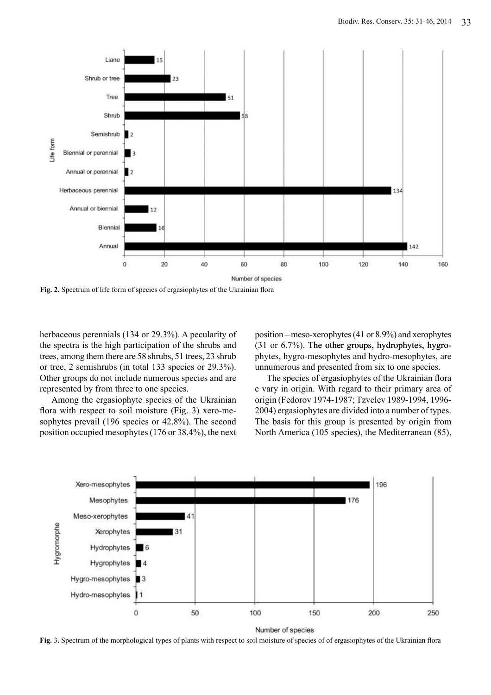

Fig. 2. Spectrum of life form of species of ergasiophytes of the Ukrainian flora

herbaceous perennials (134 or  $29.3\%$ ). A pecularity of the spectra is the high participation of the shrubs and trees, among them there are 58 shrubs, 51 trees, 23 shrub or tree, 2 semishrubs (in total 133 species or  $29.3\%$ ). Other groups do not include numerous species and are represented by from three to one species.

 Among the ergasiophyte species of the Ukrainian flora with respect to soil moisture (Fig. 3) xero-mesophytes prevail (196 species or  $42.8\%$ ). The second position occupied mesophytes  $(176 \text{ or } 38.4\%)$ , the next position – meso-xerophytes (41 or 8.9%) and xerophytes  $(31$  or  $6.7\%)$ . The other groups, hydrophytes, hygrophytes, hygro-mesophytes and hydro-mesophytes, are unnumerous and presented from six to one species

The species of ergasiophytes of the Ukrainian flora e vary in origin. With regard to their primary area of origin (Fedorov 1974-1987; Tzvelev 1989-1994, 1996-2004) ergasiophytes are divided into a number of types. The basis for this group is presented by origin from North America (105 species), the Mediterranean (85),



Fig. 3. Spectrum of the morphological types of plants with respect to soil moisture of species of of ergasiophytes of the Ukrainian flora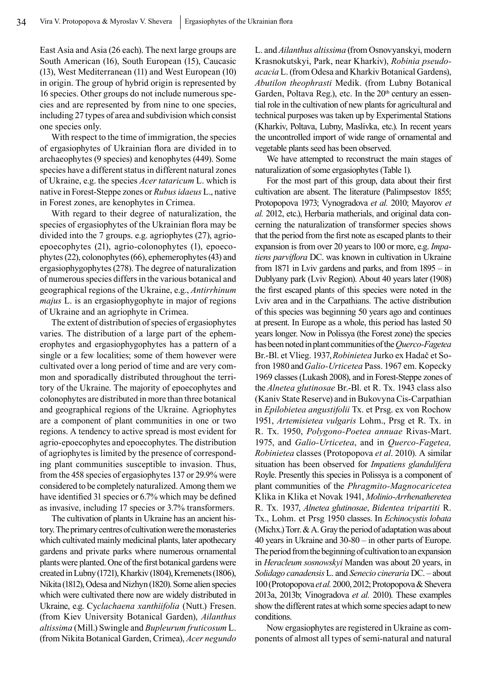East Asia and Asia  $(26$  each). The next large groups are South American (16), South European (15), Caucasic  $(13)$ , West Mediterranean  $(11)$  and West European  $(10)$ in origin. The group of hybrid origin is represented by 16 species. Other groups do not include numerous species and are represented by from nine to one species, including 27 types of area and subdivision which consist one species only.

 With respect to the time of immigration, the species of ergasiophytes of Ukrainian flora are divided in to archaeophytes (9 species) and kenophytes  $(449)$ . Some species have a different status in different natural zones of Ukraine, e.g. the species *Acer tataricum* L. which is native in Forest-Steppe zones or *Rubus idaeus* L., native in Forest zones, are kenophytes in Crimea.

 With regard to their degree of naturalization, the species of ergasiophytes of the Ukrainian flora may be divided into the 7 groups. e.g. agricphytes  $(27)$ , agrioepoecophytes  $(21)$ , agrio-colonophytes  $(1)$ , epoecophytes  $(22)$ , colonophytes  $(66)$ , ephemerophytes  $(43)$  and ergasiophygophytes  $(278)$ . The degree of naturalization of numerous species differs in the various botanical and geographical regions of the Ukraine, e.g., *Antirrhinum majus* L. is an ergasiophygophyte in major of regions of Ukraine and an agriophyte in Crimea.

 The extent of distribution of species of ergasiophytes varies. The distribution of a large part of the ephemerophytes and ergasiophygophytes has a pattern of a single or a few localities; some of them however were cultivated over a long period of time and are very com mon and sporadically distributed throughout the terri tory of the Ukraine. The majority of epoecophytes and colonophytes are distributed in more than three botanical and geographical regions of the Ukraine. Agriophytes are a component of plant communities in one or two regions. A tendency to active spread is most evident for agrio-epoecophytes and epoecophytes. The distribution of agriophytes is limited by the presence of correspond ing plant communities susceptible to invasion. Thus, from the 458 species of ergasiophytes 137 or 29.9% were considered to be completely naturalized. Among them we have identified 31 species or  $6.7\%$  which may be defined as invasive, including 17 species or 3.7% transformers.

 The cultivation of plants in Ukraine has an ancient his tory. The primary centres of cultivation were the monasteries which cultivated mainly medicinal plants, later apothecary gardens and private parks where numerous ornamental plants were planted. One of the first botanical gardens were created in Lubny (1721), Kharkiv (1804), Kremenets (1806), Nikita (1812), Odesa and Nizhyn (1820). Some alien species which were cultivated there now are widely distributed in Ukraine, e.g. Cyclachaena xanthiifolia (Nutt.) Fresen. Ifrom Kiev University Botanical Garden), Ailanthus *altissima* (Mill.) Swingle and *Bupleurum fruticosum* L. Ifrom Nikita Botanical Garden, Crimea), *Acer negundo*  L. and *Ailanthus altissima* (from Osnovyanskyi, modern Krasnokutskyi, Park, near Kharkiv), Robinia pseudo*acacia* L. (from Odesa and Kharkiv Botanical Gardens), *Abutilon theophrasti* Medik. (from Lubny Botanical Garden, Poltava Reg.), etc. In the 20<sup>th</sup> century an essential role in the cultivation of new plants for agricultural and technical purposes was taken up by Experimental Stations (Kharkiv, Poltava, Lubny, Maslivka, etc.). In recent years the uncontrolled import of wide range of ornamental and vegetable plants seed has been observed.

 We have attempted to reconstruct the main stages of naturalization of some ergasiophytes (Table 1).

For the most part of this group, data about their first cultivation are absent. The literature (Palimpsestov 1855; Protopopova 1973; Vynogradova et al. 2010; Mayorov et *al.* 2012, etc.), Herbaria matherials, and original data concerning the naturalization of transformer species shows that the period from the first note as escaped plants to their expansion is from over 20 years to 100 or more, e.g. *Impatiens parviflora* DC. was known in cultivation in Ukraine from 1871 in Lviv gardens and parks, and from  $1895 - in$ Dublyany park (Lviv Region). About 40 years later (1908) the first escaped plants of this species were noted in the Lyiv area and in the Carpathians. The active distribution of this species was beginning 50 years ago and continues at present. In Europe as a whole, this period has lasted 50 years longer. Now in Polissya (the Forest zone) the species has been noted in plant communities of the *Querco-Fagetea*  Br.-Bl. et Vlieg. 1937, Robinietea Jurko ex Hadač et Sofron 1980 and Galio-Urticetea Pass. 1967 em. Kopecky 1969 classes (Lukash 2008), and in Forest-Steppe zones of the *Alnetea glutinosae* Br.-Bl. et R. Tx. 1943 class also (Kaniv State Reserve) and in Bukovyna Cis-Carpathian in *Epilobietea angustifolii* Tx. et Prsg. ex von Rochow 1951, *Artemisietea vulgaris* Lohm., Prsg et R. Tx. in R. Tx. 1950, Polygono-Poetea annuae Rivas-Mart. and *Galio-Urticetea*, and in *Querco-Fagetea, Robinietea* classes (Protopopova *et al.* 2010). A similar situation has been observed for *Impatiens glandulifera*  Royle. Presently this species in Polissya is a component of plant communities of the *Phragmito-Magnocaricetea* Klika in Klika et Novak 1941, *Molinio-Arrhenatheretea* 57[ *Alnetea glutinosae*, *Bidentea tripartiti* 5 Tx., Lohm. et Prsg 1950 classes. In *Echinocystis lobata* (Michx.) Torr.  $\&$  A. Gray the period of adaptation was about  $40$  years in Ukraine and  $30-80$  – in other parts of Europe. The period from the beginning of cultivation to an expansion in *Heracleum sosnowskyi* Manden was about 20 years, in *Solidago canadensis* L. and *Senecio cineraria* DC. - about 100 (Protopopova *et al.* 2000, 2012; Protopopova & Shevera 2013a, 2013b; Vinogradova et al. 2010). These examples show the different rates at which some species adapt to new conditions.

Now ergasiophytes are registered in Ukraine as components of almost all types of semi-natural and natural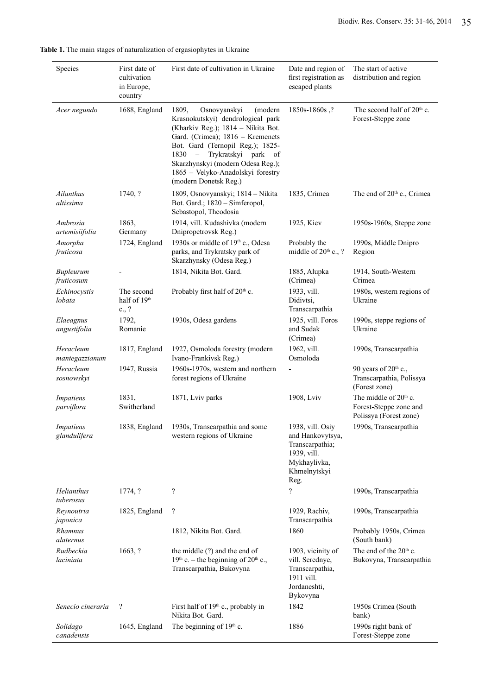| <b>Species</b>                   | First date of<br>cultivation<br>in Europe,<br>country | First date of cultivation in Ukraine                                                                                                                                                                                                                                                                                 | Date and region of<br>first registration as<br>escaped plants                                                  | The start of active<br>distribution and region                                        |
|----------------------------------|-------------------------------------------------------|----------------------------------------------------------------------------------------------------------------------------------------------------------------------------------------------------------------------------------------------------------------------------------------------------------------------|----------------------------------------------------------------------------------------------------------------|---------------------------------------------------------------------------------------|
| Acer negundo                     | 1688, England                                         | 1809,<br>Osnovyanskyi<br>(modern<br>Krasnokutskyi) dendrological park<br>(Kharkiv Reg.); 1814 - Nikita Bot.<br>Gard. (Crimea); 1816 - Kremenets<br>Bot. Gard (Ternopil Reg.); 1825-<br>1830 - Trykratskyi park of<br>Skarzhynskyi (modern Odesa Reg.);<br>1865 - Velyko-Anadolskyi forestry<br>(modern Donetsk Reg.) | 1850s-1860s .?                                                                                                 | The second half of 20 <sup>th</sup> c.<br>Forest-Steppe zone                          |
| Ailanthus<br>altissima           | 1740, ?                                               | 1809, Osnovyanskyi; 1814 - Nikita<br>Bot. Gard.; 1820 - Simferopol,<br>Sebastopol, Theodosia                                                                                                                                                                                                                         | 1835, Crimea                                                                                                   | The end of $20th$ c., Crimea                                                          |
| Ambrosia<br>artemisiifolia       | 1863,<br>Germany                                      | 1914, vill. Kudashivka (modern<br>Dnipropetrovsk Reg.)                                                                                                                                                                                                                                                               | 1925, Kiev                                                                                                     | 1950s-1960s, Steppe zone                                                              |
| Amorpha<br>fruticosa             | 1724, England                                         | 1930s or middle of 19th c., Odesa<br>parks, and Trykratsky park of<br>Skarzhynsky (Odesa Reg.)                                                                                                                                                                                                                       | Probably the<br>middle of 20 <sup>th</sup> c., ?                                                               | 1990s, Middle Dnipro<br>Region                                                        |
| Bupleurum<br>fruticosum          |                                                       | 1814, Nikita Bot. Gard.                                                                                                                                                                                                                                                                                              | 1885, Alupka<br>(Crimea)                                                                                       | 1914, South-Western<br>Crimea                                                         |
| Echinocystis<br>lobata           | The second<br>half of 19 <sup>th</sup><br>c., ?       | Probably first half of 20 <sup>th</sup> c.                                                                                                                                                                                                                                                                           | 1933, vill.<br>Didivtsi,<br>Transcarpathia                                                                     | 1980s, western regions of<br>Ukraine                                                  |
| Elaeagnus<br>angustifolia        | 1792,<br>Romanie                                      | 1930s, Odesa gardens                                                                                                                                                                                                                                                                                                 | 1925, vill. Foros<br>and Sudak<br>(Crimea)                                                                     | 1990s, steppe regions of<br>Ukraine                                                   |
| Heracleum<br>mantegazzianum      | 1817, England                                         | 1927, Osmoloda forestry (modern<br>Ivano-Frankivsk Reg.)                                                                                                                                                                                                                                                             | 1962, vill.<br>Osmoloda                                                                                        | 1990s, Transcarpathia                                                                 |
| Heracleum<br>sosnowskyi          | 1947, Russia                                          | 1960s-1970s, western and northern<br>forest regions of Ukraine                                                                                                                                                                                                                                                       |                                                                                                                | 90 years of $20th$ c.,<br>Transcarpathia, Polissya<br>(Forest zone)                   |
| <i>Impatiens</i><br>parviflora   | 1831,<br>Switherland                                  | 1871, Lviv parks                                                                                                                                                                                                                                                                                                     | 1908, Lviv                                                                                                     | The middle of 20 <sup>th</sup> c.<br>Forest-Steppe zone and<br>Polissya (Forest zone) |
| <i>Impatiens</i><br>glandulifera |                                                       | 1838, England 1930s, Transcarpathia and some<br>western regions of Ukraine                                                                                                                                                                                                                                           | 1938, vill. Osiy<br>and Hankovytsya,<br>Transcarpathia;<br>1939, vill.<br>Mykhaylivka,<br>Khmelnytskyi<br>Reg. | 1990s, Transcarpathia                                                                 |
| Helianthus<br>tuberosus          | 1774, ?                                               | $\overline{\mathcal{E}}$                                                                                                                                                                                                                                                                                             | $\overline{\mathcal{L}}$                                                                                       | 1990s, Transcarpathia                                                                 |
| Reynoutria<br>japonica           | 1825, England                                         | $\overline{\mathcal{L}}$                                                                                                                                                                                                                                                                                             | 1929, Rachiv,<br>Transcarpathia                                                                                | 1990s, Transcarpathia                                                                 |
| Rhamnus<br>alaternus             |                                                       | 1812, Nikita Bot. Gard.                                                                                                                                                                                                                                                                                              | 1860                                                                                                           | Probably 1950s, Crimea<br>(South bank)                                                |
| Rudbeckia<br>laciniata           | 1663, ?                                               | the middle (?) and the end of<br>$19th$ c. – the beginning of $20th$ c.,<br>Transcarpathia, Bukovyna                                                                                                                                                                                                                 | 1903, vicinity of<br>vill. Serednye,<br>Transcarpathia,<br>1911 vill.<br>Jordaneshti,<br>Bykovyna              | The end of the 20 <sup>th</sup> c.<br>Bukovyna, Transcarpathia                        |
| Senecio cineraria                | $\overline{\mathcal{L}}$                              | First half of 19 <sup>th</sup> c., probably in<br>Nikita Bot. Gard.                                                                                                                                                                                                                                                  | 1842                                                                                                           | 1950s Crimea (South<br>bank)                                                          |
| Solidago<br>canadensis           | 1645, England                                         | The beginning of 19th c.                                                                                                                                                                                                                                                                                             | 1886                                                                                                           | 1990s right bank of<br>Forest-Steppe zone                                             |

**Table 1.** The main stages of naturalization of ergasiophytes in Ukraine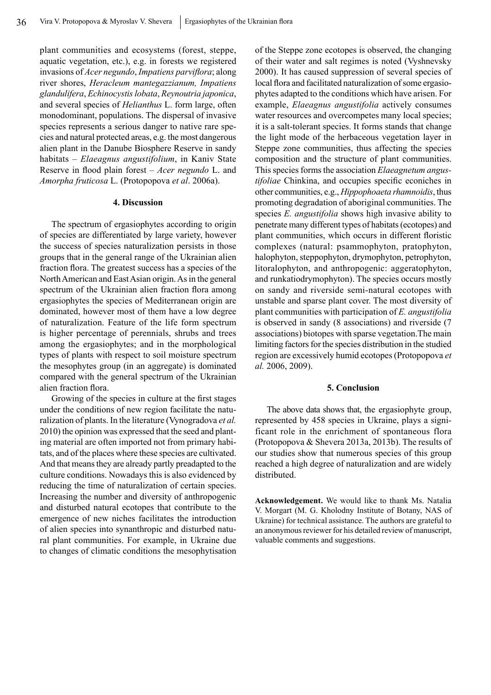plant communities and ecosystems (forest, steppe, aquatic vegetation, etc.), e.g. in forests we registered invasions of *Acer negundo*, *Impatiens parviflora*; along river shores, *Heracleum mantegazzianum, Impatiens glandulifera*, *Echinocystis lobata*, *Reynoutria japonica*, and several species of *Helianthus* L. form large, often monodominant, populations. The dispersal of invasive species represents a serious danger to native rare spe cies and natural protected areas, e.g. the most dangerous alien plant in the Danube Biosphere Reserve in sandy habitats – *Elaeagnus angustifolium*, in Kaniv State Reserve in flood plain forest – *Acer negundo* L. and *Amorpha fruticosa* L. (Protopopova et al. 2006a).

#### **4. Discussion**

 The spectrum of ergasiophytes according to origin of species are differentiated by large variety, however the success of species naturalization persists in those groups that in the general range of the Ukrainian alien fraction flora. The greatest success has a species of the North American and East Asian origin. As in the general spectrum of the Ukrainian alien fraction flora among ergasiophytes the species of Mediterranean origin are dominated, however most of them have a low degree of naturalization. Feature of the life form spectrum is higher percentage of perennials, shrubs and trees among the ergasiophytes; and in the morphological types of plants with respect to soil moisture spectrum the mesophytes group (in an aggregate) is dominated compared with the general spectrum of the Ukrainian alien fraction flora.

Growing of the species in culture at the first stages under the conditions of new region facilitate the natu ralization of plants. In the literature (Vynogradova et al. 2010) the opinion was expressed that the seed and planting material are often imported not from primary habi tats, and of the places where these species are cultivated. And that means they are already partly preadapted to the culture conditions. Nowadays this is also evidenced by reducing the time of naturalization of certain species. Increasing the number and diversity of anthropogenic and disturbed natural ecotopes that contribute to the emergence of new niches facilitates the introduction of alien species into synanthropic and disturbed natu ral plant communities. For example, in Ukraine due to changes of climatic conditions the mesophytisation

of the Steppe zone ecotopes is observed, the changing of their water and salt regimes is noted (Vyshnevsky 2000). It has caused suppression of several species of local flora and facilitated naturalization of some ergasiophytes adapted to the conditions which have arisen. For example, *Elaeagnus angustifolia* actively consumes water resources and overcompetes many local species; it is a salt-tolerant species. It forms stands that change the light mode of the herbaceous vegetation layer in Steppe zone communities, thus affecting the species composition and the structure of plant communities. This species forms the association *Elaeagnetum angustifoliae* Chinkina, and occupies specific econiches in other communities, e.g., *Hippophoaeta rhamnoidis*, thus promoting degradation of aboriginal communities. The species *E. angustifolia* shows high invasive ability to penetrate many different types of habitats (ecotopes) and plant communities, which occurs in different floristic complexes (natural: psammophyton, pratophyton, halophyton, steppophyton, drymophyton, petrophyton, litoralophyton, and anthropogenic: aggeratophyton, and runkatiodrymophyton). The species occurs mostly on sandy and riverside semi-natural ecotopes with unstable and sparse plant cover. The most diversity of plant communities with participation of *E. angustifolia* is observed in sandy (8 associations) and riverside  $(7)$ associations) biotopes with sparse vegetation. The main limiting factors for the species distribution in the studied region are excessively humid ecotopes (Protopopova et *al.* 

#### **5. Conclusion**

 The above data shows that, the ergasiophyte group, represented by 458 species in Ukraine, plays a significant role in the enrichment of spontaneous flora (Protopopova  $&$  Shevera 2013a, 2013b). The results of our studies show that numerous species of this group reached a high degree of naturalization and are widely distributed.

Acknowledgement. We would like to thank Ms. Natalia V. Morgart (M. G. Kholodny Institute of Botany, NAS of Ukraine) for technical assistance. The authors are grateful to an anonymous reviewer for his detailed review of manuscript, valuable comments and suggestions.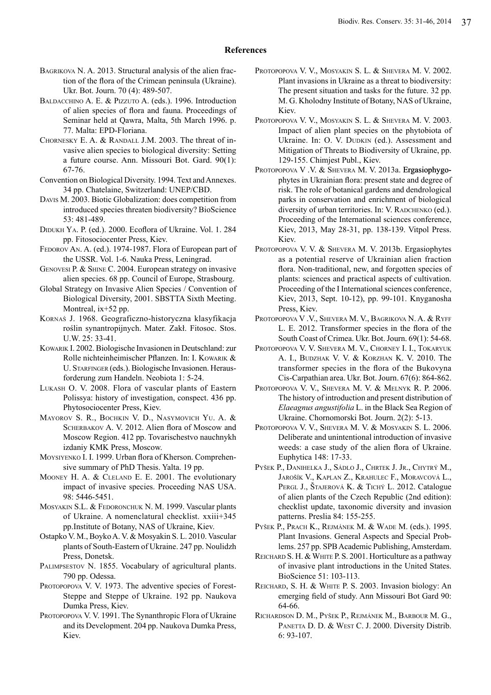#### **References**

- BAGRIKOVA N. A. 2013. Structural analysis of the alien fraction of the flora of the Crimean peninsula (Ukraine). Ukr. Bot. Journ. 70 (4): 489-507.
- BALDACCHINO A. E. & PIZZUTO A. (eds.). 1996. Introduction of alien species of flora and fauna. Proceedings of Seminar held at Qawra, Malta, 5th March 1996. p. 77. Malta: EPD-Floriana.
- CHORNESKY E. A. & RANDALL J.M. 2003. The threat of invasive alien species to biological diversity: Setting a future course. Ann. Missouri Bot. Gard. 90(1):  $67 - 76$
- Convention on Biological Diversity. 1994. Text and Annexes. 34 pp. Chatelaine, Switzerland: UNEP/CBD.
- DAVIS M. 2003. Biotic Globalization: does competition from introduced species threaten biodiversity? BioScience 53:481-489.
- DIDUKH YA. P. (ed.). 2000. Ecoflora of Ukraine. Vol. 1. 284 pp. Fitosociocenter Press, Kiev.
- FEDOROV AN. A. (ed.). 1974-1987. Flora of European part of the USSR. Vol. 1-6. Nauka Press, Leningrad.
- GENOVESI P. & SHINE C. 2004. European strategy on invasive alien species. 68 pp. Council of Europe, Strasbourg.
- Global Strategy on Invasive Alien Species / Convention of Biological Diversity, 2001. SBSTTA Sixth Meeting. Montreal, ix+52 pp.
- KORNAŚ J. 1968. Geograficzno-historyczna klasyfikacja roślin synantropijnych. Mater. Zakł. Fitosoc. Stos. U.W. 25: 33-41.
- KOWARIK I. 2002. Biologische Invasionen in Deutschland: zur Rolle nichteinheimischer Pflanzen. In: I. KOWARIK & U. STARFINGER (eds.). Biologische Invasionen. Herausforderung zum Handeln. Neobiota 1: 5-24.
- LUKASH O. V. 2008. Flora of vascular plants of Eastern Polissya: history of investigation, conspect. 436 pp. Phytosociocenter Press, Kiev.
- MAYOROV S. R., BOCHKIN V. D., NASYMOVICH YU. A. & SCHERBAKOV A. V. 2012. Alien flora of Moscow and Moscow Region. 412 pp. Tovarischestvo nauchnykh izdaniy KMK Press, Moscow.
- MOYSIYENKO I. I. 1999. Urban flora of Kherson. Comprehensive summary of PhD Thesis. Yalta. 19 pp.
- MOONEY H. A. & CLELAND E. E. 2001. The evolutionary impact of invasive species. Proceeding NAS USA. 98: 5446-5451.
- MOSYAKIN S.L. & FEDORONCHUK N. M. 1999. Vascular plants of Ukraine. A nomenclatural checklist. xxiii+345 pp.Institute of Botany, NAS of Ukraine, Kiev.
- Ostapko V. M., Boyko A. V. & Mosyakin S. L. 2010. Vascular plants of South-Eastern of Ukraine. 247 pp. Noulidzh Press, Donetsk.
- PALIMPSESTOV N. 1855. Vocabulary of agricultural plants. 790 pp. Odessa.
- PROTOPOPOVA V. V. 1973. The adventive species of Forest-Steppe and Steppe of Ukraine. 192 pp. Naukova Dumka Press, Kiev.
- PROTOPOPOVA V. V. 1991. The Synanthropic Flora of Ukraine and its Development. 204 pp. Naukova Dumka Press, Kiev.
- PROTOPOPOVA V. V., MOSYAKIN S. L. & SHEVERA M. V. 2002. Plant invasions in Ukraine as a threat to biodiversity: The present situation and tasks for the future. 32 pp. M. G. Kholodny Institute of Botany, NAS of Ukraine, Kiev.
- PROTOPOPOVA V. V., MOSYAKIN S. L. & SHEVERA M. V. 2003. Impact of alien plant species on the phytobiota of Ukraine. In: O. V. DUDKIN (ed.). Assessment and Mitigation of Threats to Biodiversity of Ukraine, pp. 129-155. Chimjest Publ., Kiev.
- PROTOPOPOVA V.V. & SHEVERA M.V. 2013a. Ergasiophygophytes in Ukrainian flora: present state and degree of risk. The role of botanical gardens and dendrological parks in conservation and enrichment of biological diversity of urban territories. In: V. RADCHENKO (ed.). Proceeding of the International sciences conference, Kiev, 2013, May 28-31, pp. 138-139. Vitpol Press. Kiev.
- PROTOPOPOVA V. V. & SHEVERA M. V. 2013b. Ergasiophytes as a potential reserve of Ukrainian alien fraction flora. Non-traditional, new, and forgotten species of plants: sciences and practical aspects of cultivation. Proceeding of the I International sciences conference, Kiev, 2013, Sept. 10-12), pp. 99-101. Knyganosha Press, Kiev.
- PROTOPOPOVA V.V., SHEVERA M.V., BAGRIKOVA N.A. & RYFF L. E. 2012. Transformer species in the flora of the South Coast of Crimea. Ukr. Bot. Journ. 69(1): 54-68.
- PROTOPOPOVA V. V. SHEVERA M. V., CHORNEY I. I., TOKARYUK A. I., BUDZHAK V. V. & KORZHAN K. V. 2010. The transformer species in the flora of the Bukovyna Cis-Carpathian area. Ukr. Bot. Journ. 67(6): 864-862.
- PROTOPOPOVA V. V., SHEVERA M. V. & MELNYK R. P. 2006. The history of introduction and present distribution of Elaeagnus angustifolia L. in the Black Sea Region of Ukraine. Chornomorski Bot. Journ. 2(2): 5-13.
- PROTOPOPOVA V. V., SHEVERA M. V. & MOSYAKIN S. L. 2006. Deliberate and unintentional introduction of invasive weeds: a case study of the alien flora of Ukraine. Euphytica 148: 17-33.
- PYŠEK P., DANIHELKA J., SÁDLO J., CHRTEK J. JR., CHYTRÝ M., JAROŠÍK V., KAPLAN Z., KRAHULEC F., MORAVCOVÁ L., PERGL J., ŠTAJEROVÁ K. & TICHÝ L. 2012. Catalogue of alien plants of the Czech Republic (2nd edition): checklist update, taxonomic diversity and invasion patterns. Preslia 84: 155-255.
- PYŠEK P., PRACH K., REJMÁNEK M. & WADE M. (eds.). 1995. Plant Invasions. General Aspects and Special Problems. 257 pp. SPB Academic Publishing, Amsterdam.
- REICHARD S. H. & WHITE P. S. 2001. Horticulture as a pathway of invasive plant introductions in the United States. BioScience 51: 103-113.
- REICHARD, S. H. & WHITE P. S. 2003. Invasion biology: An emerging field of study. Ann Missouri Bot Gard 90: 64-66.
- RICHARDSON D. M., PYŠEK P., REJMÁNEK M., BARBOUR M. G., PANETTA D. D. & WEST C. J. 2000. Diversity Distrib.  $6: 93-107.$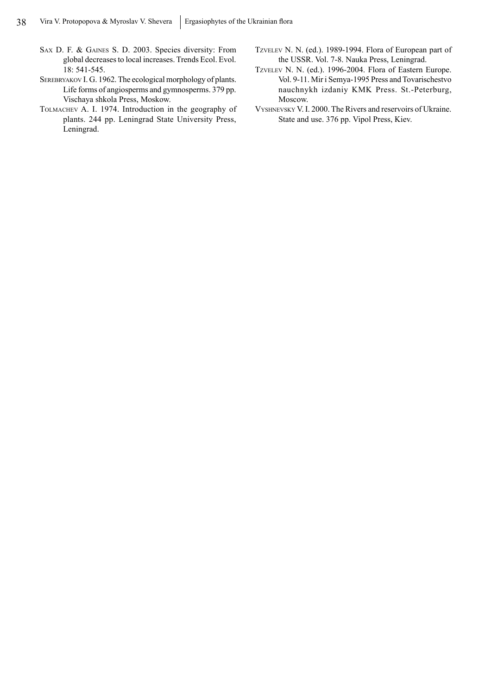- SAX D. F. & GAINES S. D. 2003. Species diversity: From global decreases to local increases. Trends Ecol. Evol. 18: 541-545.
- SEREBRYAKOV I. G. 1962. The ecological morphology of plants. Life forms of angiosperms and gymnosperms. 379 pp. Vischaya shkola Press, Moskow.
- TOLMACHEV A. I. 1974. Introduction in the geography of plants. 244 pp. Leningrad State University Press, Leningrad.
- TZVELEV N. N. (ed.). 1989-1994. Flora of European part of the USSR. Vol. 7-8. Nauka Press, Leningrad.
- TZVELEV N. N. (ed.). 1996-2004. Flora of Eastern Europe. Vol. 9-11. Mir i Semya-1995 Press and Tovarischestvo nauchnykh izdaniy KMK Press. St.-Peterburg, Moscow.
- VYSHNEVSKY V. I. 2000. The Rivers and reservoirs of Ukraine. State and use. 376 pp. Vipol Press, Kiev.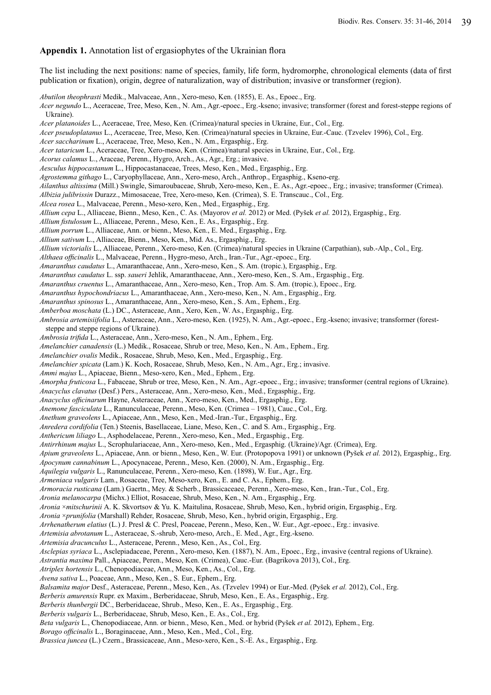#### **Appendix 1.** Annotation list of ergasiophytes of the Ukrainian flora

The list including the next positions: name of species, family, life form, hydromorphe, chronological elements (data of first publication or fixation), origin, degree of naturalization, way of distribution; invasive or transformer (region).

Abutilon theophrasti Medik., Malvaceae, Ann., Xero-meso, Ken. (1855), E. As., Epoec., Erg.

- Acer negundo L., Aceraceae, Tree, Meso, Ken., N. Am., Agr.-epoec., Erg.-kseno; invasive; transformer (forest and forest-steppe regions of Ukraine).
- Acer platanoides L., Aceraceae, Tree, Meso, Ken. (Crimea)/natural species in Ukraine, Eur., Col., Erg.
- Acer pseudoplatanus L., Aceraceae, Tree, Meso, Ken. (Crimea)/natural species in Ukraine, Eur.-Cauc. (Tzvelev 1996), Col., Erg.
- Acer saccharinum L., Aceraceae, Tree, Meso, Ken., N. Am., Ergasphig., Erg.
- Acer tataricum L., Aceraceae, Tree, Xero-meso, Ken. (Crimea)/natural species in Ukraine, Eur., Col., Erg.
- Acorus calamus L., Araceae, Perenn., Hygro, Arch., As., Agr., Erg.; invasive.
- Aesculus hippocastanum L., Hippocastanaceae, Trees, Meso, Ken., Med., Ergasphig., Erg.
- Agrostemma githago L., Caryophyllaceae, Ann., Xero-meso, Arch., Anthrop., Ergasphig., Kseno-erg.
- Ailanthus altissima (Mill.) Swingle, Simaroubaceae, Shrub, Xero-meso, Ken., E. As., Agr.-epoec., Erg.; invasive; transformer (Crimea).
- Albizia julibrissin Durazz, Mimosaceae, Tree, Xero-meso, Ken. (Crimea), S. E. Transcauc., Col., Erg.
- Alcea rosea L., Malvaceae, Perenn., Meso-xero, Ken., Med., Ergasphig., Erg.
- Allium cepa L., Alliaceae, Bienn., Meso, Ken., C. As. (Mayorov et al. 2012) or Med. (Pyšek et al. 2012), Ergasphig., Erg.
- Allium fistulosum L., Alliaceae, Perenn., Meso, Ken., E. As., Ergasphig., Erg.
- Allium porrum L., Alliaceae, Ann. or bienn., Meso, Ken., E. Med., Ergasphig., Erg.
- Allium sativum L., Alliaceae, Bienn., Meso, Ken., Mid. As., Ergasphig., Erg.
- Allium victorialis L., Alliaceae, Perenn., Xero-meso, Ken. (Crimea)/natural species in Ukraine (Carpathian), sub.-Alp., Col., Erg.
- Althaea officinalis L., Malvaceae, Perenn., Hygro-meso, Arch., Iran.-Tur., Agr.-epoec., Erg.
- Amaranthus caudatus L., Amaranthaceae, Ann., Xero-meso, Ken., S. Am. (tropic.), Ergasphig., Erg.
- Amaranthus caudatus L. ssp. saueri Jehlik, Amaranthaceae, Ann., Xero-meso, Ken., S. Am., Ergasphig., Erg.
- Amaranthus cruentus L., Amaranthaceae, Ann., Xero-meso, Ken., Trop. Am. S. Am. (tropic.), Epoec., Erg.
- Amaranthus hypochondriacus L., Amaranthaceae, Ann., Xero-meso, Ken., N. Am., Ergasphig., Erg.
- Amaranthus spinosus L., Amaranthaceae, Ann., Xero-meso, Ken., S. Am., Ephem., Erg.
- Amberboa moschata (L.) DC., Asteraceae, Ann., Xero, Ken., W. As., Ergasphig., Erg.
- Ambrosia artemisiifolia L., Asteraceae, Ann., Xero-meso, Ken. (1925), N. Am., Agr.-epoec., Erg.-kseno; invasive; transformer (foreststeppe and steppe regions of Ukraine).
- Ambrosia trifida L., Asteraceae, Ann., Xero-meso, Ken., N. Am., Ephem., Erg.
- Amelanchier canadensis (L.) Medik., Rosaceae, Shrub or tree, Meso, Ken., N. Am., Ephem., Erg.
- Amelanchier ovalis Medik., Rosaceae, Shrub, Meso, Ken., Med., Ergasphig., Erg.
- Amelanchier spicata (Lam.) K. Koch, Rosaceae, Shrub, Meso, Ken., N. Am., Agr., Erg.; invasive.
- Ammi majus L., Apiaceae, Bienn., Meso-xero, Ken., Med., Ephem., Erg.
- Amorpha fruticosa L., Fabaceae, Shrub or tree, Meso, Ken., N. Am., Agr.-epoec., Erg.; invasive; transformer (central regions of Ukraine).
- Anacyclus clavatus (Desf.) Pers., Asteraceae, Ann., Xero-meso, Ken., Med., Ergasphig., Erg.
- Anacyclus officinarum Hayne, Asteraceae, Ann., Xero-meso, Ken., Med., Ergasphig., Erg.
- Anemone fasciculata L., Ranunculaceae, Perenn., Meso, Ken. (Crimea 1981), Cauc., Col., Erg.
- Anethum graveolens L., Apiaceae, Ann., Meso, Ken., Med.-Iran.-Tur., Ergasphig., Erg.
- Anredera cordifolia (Ten.) Steenis, Basellaceae, Liane, Meso, Ken., C. and S. Am., Ergasphig., Erg.
- Anthericum liliago L., Asphodelaceae, Perenn., Xero-meso, Ken., Med., Ergasphig., Erg.
- Antirrhinum majus L., Scrophulariaceae, Ann., Xero-meso, Ken., Med., Ergasphig. (Ukraine)/Agr. (Crimea), Erg.
- Apium graveolens L., Apiaceae, Ann. or bienn., Meso, Ken., W. Eur. (Protopopova 1991) or unknown (Pyšek et al. 2012), Ergasphig., Erg.
- Apocynum cannabinum L., Apocynaceae, Perenn., Meso, Ken. (2000), N. Am., Ergasphig., Erg.
- Aquilegia vulgaris L., Ranunculaceae, Perenn., Xero-meso, Ken. (1898), W. Eur., Agr., Erg.
- Armeniaca vulgaris Lam., Rosaceae, Tree, Meso-xero, Ken., E. and C. As., Ephem., Erg.
- Armoracia rusticana (Lam.) Gaertn., Mey. & Scherb., Brassicaceaee, Perenn., Xero-meso, Ken., Iran.-Tur., Col., Erg.
- Aronia melanocarpa (Michx.) Elliot, Rosaceae, Shrub, Meso, Ken., N. Am., Ergasphig., Erg.
- Aronia ×mitschurinii A. K. Skvortsov & Yu. K. Maitulina, Rosaceae, Shrub, Meso, Ken., hybrid origin, Ergasphig., Erg.
- Aronia ×prunifolia (Marshall) Rehder, Rosaceae, Shrub, Meso, Ken., hybrid origin, Ergasphig., Erg.
- Arrhenatherum elatius (L.) J. Presl & C. Presl, Poaceae, Perenn., Meso, Ken., W. Eur., Agr.-epoec., Erg.: invasive.
- Artemisia abrotanum L., Asteraceae, S.-shrub, Xero-meso, Arch., E. Med., Agr., Erg.-kseno.
- Artemisia dracunculus L., Asteraceae, Perenn., Meso, Ken., As., Col., Erg.
- Asclepias syriaca L., Asclepiadaceae, Perenn., Xero-meso, Ken. (1887), N. Am., Epoec., Erg., invasive (central regions of Ukraine).
- Astrantia maxima Pall., Apiaceae, Peren., Meso, Ken. (Crimea), Cauc.-Eur. (Bagrikova 2013), Col., Erg.
- Atriplex hortensis L., Chenopodiaceae, Ann., Meso, Ken., As., Col., Erg.
- Avena sativa L., Poaceae, Ann., Meso, Ken., S. Eur., Ephem., Erg.
- Balsamita major Desf., Asteraceae, Perenn., Meso, Ken., As. (Tzvelev 1994) or Eur.-Med. (Pyšek et al. 2012), Col., Erg.
- Berberis amurensis Rupr. ex Maxim., Berberidaceae, Shrub, Meso, Ken., E. As., Ergasphig., Erg.
- Berberis thunbergii DC., Berberidaceae, Shrub., Meso, Ken., E. As., Ergasphig., Erg.
- Berberis vulgaris L., Berberidaceae, Shrub, Meso, Ken., E. As., Col., Erg.
- Beta vulgaris L., Chenopodiaceae, Ann. or bienn., Meso, Ken., Med. or hybrid (Pyšek et al. 2012), Ephem., Erg.
- Borago officinalis L., Boraginaceae, Ann., Meso, Ken., Med., Col., Erg.
- Brassica juncea (L.) Czern., Brassicaceae, Ann., Meso-xero, Ken., S.-E. As., Ergasphig., Erg.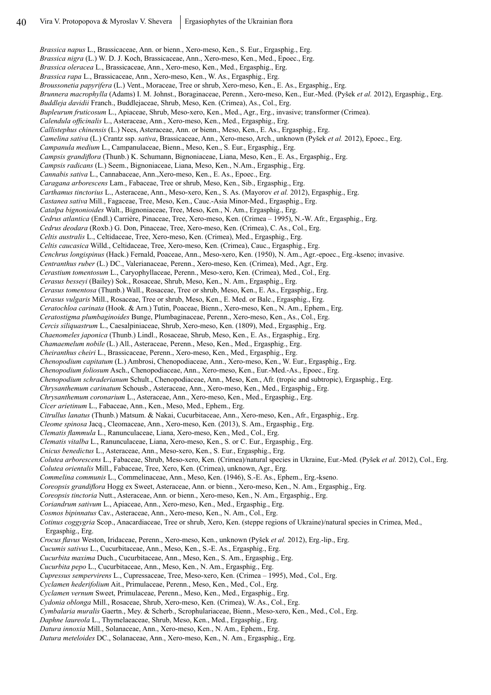Brassica napus L., Brassicaceae, Ann. or bienn., Xero-meso, Ken., S. Eur., Ergasphig., Erg.

Brassica nigra (L.) W. D. J. Koch, Brassicaceae, Ann., Xero-meso, Ken., Med., Epoec., Erg.

Brassica oleracea L., Brassicaceae, Ann., Xero-meso, Ken., Med., Ergasphig., Erg.

Brassica rapa L., Brassicaceae, Ann., Xero-meso, Ken., W. As., Ergasphig., Erg.

Broussonetia papyrifera (L.) Vent., Moraceae, Tree or shrub, Xero-meso, Ken., E. As., Ergasphig., Erg.

Brunnera macrophylla (Adams) I. M. Johnst., Boraginaceae, Perenn., Xero-meso, Ken., Eur.-Med. (Pyšek et al. 2012), Ergasphig., Erg.

Buddleja davidii Franch., Buddlejaceae, Shrub, Meso, Ken. (Crimea), As., Col., Erg.

Bupleurum fruticosum L., Apiaceae, Shrub, Meso-xero, Ken., Med., Agr., Erg., invasive; transformer (Crimea).

Calendula officinalis L., Asteraceae, Ann., Xero-meso, Ken., Med., Ergasphig., Erg.

Callistephus chinensis (L.) Nees, Asteraceae, Ann. or bienn., Meso, Ken., E. As., Ergasphig., Erg.

Camelina sativa (L.) Crantz ssp. sativa, Brassicaceae, Ann., Xero-meso, Arch., unknown (Pyšek et al. 2012), Epoec., Erg.

Campanula medium L., Campanulaceae, Bienn., Meso, Ken., S. Eur., Ergasphig., Erg.

Campsis grandiflora (Thunb.) K. Schumann, Bignoniaceae, Liana, Meso, Ken., E. As., Ergasphig., Erg.

Campsis radicans (L.) Seem., Bignoniaceae, Liana, Meso, Ken., N.Am., Ergasphig., Erg.

Cannabis sativa L., Cannabaceae, Ann., Xero-meso, Ken., E. As., Epoec., Erg.

Caragana arborescens Lam., Fabaceae, Tree or shrub, Meso, Ken., Sib., Ergasphig., Erg.

Carthamus tinctorius L., Asteraceae, Ann., Meso-xero, Ken., S. As. (Mayorov et al. 2012), Ergasphig., Erg.

Castanea sativa Mill., Fagaceae, Tree, Meso, Ken., Cauc.-Asia Minor-Med., Ergasphig., Erg.

Catalpa bignonioides Walt., Bignoniaceae, Tree, Meso, Ken., N. Am., Ergasphig., Erg.

Cedrus atlantica (Endl.) Carrière, Pinaceae, Tree, Xero-meso, Ken. (Crimea – 1995), N.-W. Afr., Ergasphig., Erg.

Cedrus deodara (Roxb.) G. Don, Pinaceae, Tree, Xero-meso, Ken. (Crimea), C. As., Col., Erg.

Celtis australis L., Celtidaceae, Tree, Xero-meso, Ken. (Crimea), Med., Ergasphig., Erg.

Celtis caucasica Willd., Celtidaceae, Tree, Xero-meso, Ken. (Crimea), Cauc., Ergasphig., Erg.

Cenchrus longispinus (Hack.) Fernald, Poaceae, Ann., Meso-xero, Ken. (1950), N. Am., Agr.-epoec., Erg.-kseno; invasive.

Centranthus ruber (L.) DC., Valerianaceae, Perenn., Xero-meso, Ken. (Crimea), Med., Agr., Erg.

Cerastium tomentosum L., Caryophyllaceae, Perenn., Meso-xero, Ken. (Crimea), Med., Col., Erg.

Cerasus besseyi (Bailey) Sok., Rosaceae, Shrub, Meso, Ken., N. Am., Ergasphig., Erg.

Cerasus tomentosa (Thunb.) Wall., Rosaceae, Tree or shrub, Meso, Ken., E. As., Ergasphig., Erg.

Cerasus vulgaris Mill., Rosaceae, Tree or shrub, Meso, Ken., E. Med. or Balc., Ergasphig., Erg.

Ceratochloa carinata (Hook. & Arn.) Tutin, Poaceae, Bienn., Xero-meso, Ken., N. Am., Ephem., Erg.

Ceratostigma plumbaginoides Bunge, Plumbaginaceae, Perenn., Xero-meso, Ken., As., Col., Erg.

Cercis siliquastrum L., Caesalpiniaceae, Shrub, Xero-meso, Ken. (1809), Med., Ergasphig., Erg.

Chaenomeles japonica (Thunb.) Lindl., Rosaceae, Shrub, Meso, Ken., E. As., Ergasphig., Erg.

Chamaemelum nobile (L.) All., Asteraceae, Perenn., Meso, Ken., Med., Ergasphig., Erg. Cheiranthus cheiri L., Brassicaceae, Perenn., Xero-meso, Ken., Med., Ergasphig., Erg.

Chenopodium capitatum (L.) Ambrosi, Chenopodiaceae, Ann., Xero-meso, Ken., W. Eur., Ergasphig., Erg.

Chenopodium foliosum Asch., Chenopodiaceae, Ann., Xero-meso, Ken., Eur.-Med.-As., Epoec., Erg.

Chenopodium schraderianum Schult., Chenopodiaceae, Ann., Meso, Ken., Afr. (tropic and subtropic), Ergasphig., Erg.

Chrysanthemum carinatum Schousb., Asteraceae, Ann., Xero-meso, Ken., Med., Ergasphig., Erg.

Chrysanthemum coronarium L., Asteraceae, Ann., Xero-meso, Ken., Med., Ergasphig., Erg.

Cicer arietinum L., Fabaceae, Ann., Ken., Meso, Med., Ephem., Erg.

Citrullus lanatus (Thunb.) Matsum. & Nakai, Cucurbitaceae, Ann., Xero-meso, Ken., Afr., Ergasphig., Erg.

Cleome spinosa Jacq., Cleomaceae, Ann., Xero-meso, Ken. (2013), S. Am., Ergasphig., Erg.

Clematis flammula L., Ranunculaceae, Liana, Xero-meso, Ken., Med., Col., Erg.

Clematis vitalba L., Ranunculaceae, Liana, Xero-meso, Ken., S. or C. Eur., Ergasphig., Erg.

Cnicus benedictus L., Asteraceae, Ann., Meso-xero, Ken., S. Eur., Ergasphig., Erg.

Colutea arborescens L., Fabaceae, Shrub, Meso-xero, Ken. (Crimea)/natural species in Ukraine, Eur.-Med. (Pyšek et al. 2012), Col., Erg.

Colutea orientalis Mill., Fabaceae, Tree, Xero, Ken. (Crimea), unknown, Agr., Erg.

Commelina communis L., Commelinaceae, Ann., Meso, Ken. (1946), S.-E. As., Ephem., Erg.-kseno.

Coreopsis grandiflora Hogg ex Sweet, Asteraceae, Ann. or bienn., Xero-meso, Ken., N. Am., Ergasphig., Erg.

Coreopsis tinctoria Nutt., Asteraceae, Ann. or bienn., Xero-meso, Ken., N. Am., Ergasphig., Erg.

Coriandrum sativum L., Apiaceae, Ann., Xero-meso, Ken., Med., Ergasphig., Erg.

Cosmos bipinnatus Cav., Asteraceae, Ann., Xero-meso, Ken., N. Am., Col., Erg.

Cotinus coggygria Scop., Anacardiaceae, Tree or shrub, Xero, Ken. (steppe regions of Ukraine)/natural species in Crimea, Med., Ergasphig. Erg.

Crocus flavus Weston, Iridaceae, Perenn., Xero-meso, Ken., unknown (Pvšek et al. 2012), Erg.-lip., Erg.

Cucumis sativus L., Cucurbitaceae, Ann., Meso, Ken., S.-E. As., Ergasphig., Erg.

Cucurbita maxima Duch., Cucurbitaceae, Ann., Meso, Ken., S. Am., Ergasphig., Erg.

- Cucurbita pepo L., Cucurbitaceae, Ann., Meso, Ken., N. Am., Ergasphig., Erg.
- Cupressus sempervirens L., Cupressaceae, Tree, Meso-xero, Ken. (Crimea 1995), Med., Col., Erg.
- Cyclamen hederifolium Ait., Primulaceae, Perenn., Meso, Ken., Med., Col., Erg.
- Cyclamen vernum Sweet, Primulaceae, Perenn., Meso, Ken., Med., Ergasphig., Erg.
- Cydonia oblonga Mill., Rosaceae, Shrub, Xero-meso, Ken. (Crimea), W. As., Col., Erg.

Cymbalaria muralis Gaertn., Mey. & Scherb., Scrophulariaceae, Bienn., Meso-xero, Ken., Med., Col., Erg.

- Daphne laureola L., Thymelaeaceae, Shrub, Meso, Ken., Med., Ergasphig., Erg.
- Datura innoxia Mill., Solanaceae, Ann., Xero-meso, Ken., N. Am., Ephem., Erg.

Datura meteloides DC., Solanaceae, Ann., Xero-meso, Ken., N. Am., Ergasphig., Erg.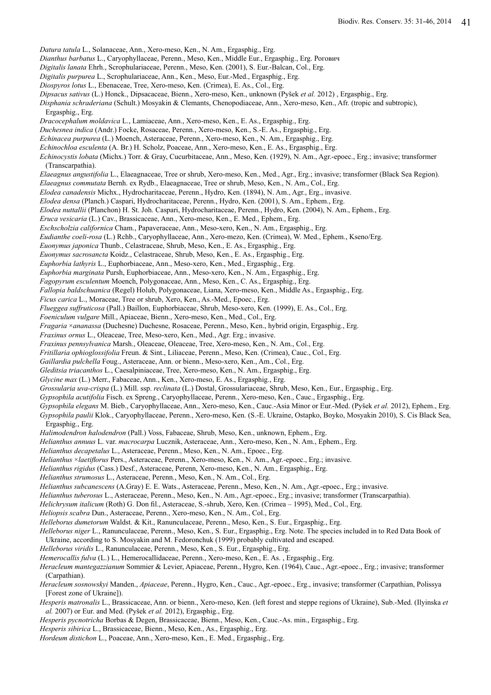- Datura tatula L., Solanaceae, Ann., Xero-meso, Ken., N. Am., Ergasphig., Erg.
- *Dianthus barbatus* L., Caryophyllaceae, Perenn., Meso, Ken., Middle Eur., Ergasphig., Erg. Рогович
- *Digitalis lanata* Ehrh., Scrophulariaceae, Perenn., Meso, Ken. (2001), S. Eur.-Balcan, Col., Erg.
- *Digitalis purpurea* L., Scrophulariaceae, Ann., Ken., Meso, Eur.-Med., Ergasphig., Erg.
- *Diospyros lotus* L., Ebenaceae, Tree, Xero-meso, Ken. (Crimea), E. As., Col., Erg.
- Dipsacus sativus (L.) Honck., Dipsacaceae, Bienn., Xero-meso, Ken., unknown (Pyšek *et al.* 2012), Ergasphig., Erg.
- Disphania schraderiana (Schult.) Mosyakin & Clemants, Chenopodiaceae, Ann., Xero-meso, Ken., Afr. (tropic and subtropic), Ergasphig., Erg.
- *Dracocephalum moldavica* L., Lamiaceae, Ann., Xero-meso, Ken., E. As., Ergasphig., Erg.
- *Duchesnea indica* (Andr.) Focke, Rosaceae, Perenn., Xero-meso, Ken., S.-E. As., Ergasphig., Erg.
- *Echinacea purpurea* (L.) Moench, Asteraceae, Perenn., Xero-meso, Ken., N. Am., Ergasphig., Erg.
- Echinochloa esculenta (A. Br.) H. Scholz, Poaceae, Ann., Xero-meso, Ken., E. As., Ergasphig., Erg.
- Echinocystis lobata (Michx.) Torr. & Gray, Cucurbitaceae, Ann., Meso, Ken. (1929), N. Am., Agr.-epoec., Erg.; invasive; transformer (Transcarpathia).
- *Elaeagnus angustifolia* L., Elaeagnaceae, Tree or shrub, Xero-meso, Ken., Med., Agr., Erg.; invasive; transformer (Black Sea Region).
- *Elaeagnus commutata* Bernh. ex Rydb., Elaeagnaceae, Tree or shrub, Meso, Ken., N. Am., Col., Erg.
- *Elodea canadensis* Michx., Hydrocharitaceae, Perenn., Hydro, Ken. (1894), N. Am., Agr., Erg., invasive.
- *Elodea densa* (Planch.) Caspari, Hydrocharitaceae, Perenn., Hydro, Ken. (2001), S. Am., Ephem., Erg.
- *Elodea nuttallii* (Planchon) H. St. Joh. Caspari, Hydrocharitaceae, Perenn., Hydro, Ken. (2004), N. Am., Ephem., Erg.
- *Eruca vesicaria* (L.) Cav., Brassicaceae, Ann., Xero-meso, Ken., E. Med., Ephem., Erg.
- *Eschscholzia californica* Cham., Papaveraceae, Ann., Meso-xero, Ken., N. Am., Ergasphig., Erg.
- *Eudianthe coeli-rosa* (L.) Rchb., Caryophyllaceae, Ann., Xero-mezo, Ken. (Crimea), W. Med., Ephem., Kseno/Erg.
- *Euonymus japonica* Thunb., Celastraceae, Shrub, Meso, Ken., E. As., Ergasphig., Erg.
- *Euonymus sacrosancta* Koidz., Celastraceae, Shrub, Meso, Ken., E. As., Ergasphig., Erg.
- *Euphorbia lathyris* L., Euphorbiaceae, Ann., Meso-xero, Ken., Med., Ergasphig., Erg.
- *Euphorbia marginata* Pursh, Euphorbiaceae, Ann., Meso-xero, Ken., N. Am., Ergasphig., Erg.
- Fagopyrum esculentum Moench, Polygonaceae, Ann., Meso, Ken., C. As., Ergasphig., Erg.
- Fallopia baldschuanica (Regel) Holub, Polygonaceae, Liana, Xero-meso, Ken., Middle As., Ergasphig., Erg.
- *Ficus carica* L., Moraceae, Tree or shrub, Xero, Ken., As.-Med., Epoec., Erg.
- *Flueggea suffruticosa* (Pall.) Baillon, Euphorbiaceae, Shrub, Meso-xero, Ken. (1999), E. As., Col., Erg.
- *Foeniculum vulgare* Mill., Apiaceae, Bienn., Xero-meso, Ken., Med., Col., Erg.
- *Fragaria* ×*ananassa* (Duchesne) Duchesne, Rosaceae, Perenn., Meso, Ken., hybrid origin, Ergasphig., Erg.
- *Fraxinus ornus* L., Oleaceae, Tree, Meso-xero, Ken., Med., Agr. Erg.; invasive.
- *Fraxinus pennsylvanica* Marsh., Oleaceae, Oleaceae, Tree, Xero-meso, Ken., N. Am., Col., Erg.
- *Fritillaria ophioglossifolia* Freun. & Sint., Liliaceae, Perenn., Meso, Ken. (Crimea), Cauc., Col., Erg.
- *Gaillardia pulchella* Foug., Asteraceae, Ann. or bienn., Meso-xero, Ken., Am., Col., Erg.
- *Gleditsia triacanthos* L., Caesalpiniaceae, Tree, Xero-meso, Ken., N. Am., Ergasphig., Erg.
- *Glycine max* (L.) Merr., Fabaceae, Ann., Ken., Xero-meso, E. As., Ergasphig., Erg.
- Grossularia uva-crispa (L.) Mill. ssp. reclinata (L.) Dostal, Grossulariaceae, Shrub, Meso, Ken., Eur., Ergasphig., Erg.
- *Gypsophila acutifolia* Fisch. ex Spreng., Caryophyllaceae, Perenn., Xero-meso, Ken., Cauc., Ergasphig., Erg.
- *Gypsophila elegans* M. Bieb., Caryophyllaceae, Ann., Xero-meso, Ken., Cauc.-Asia Minor or Eur.-Med. (Pyšek *et al.* 2012), Ephem., Erg. Gypsophila paulii Klok., Caryophyllaceae, Perenn., Xero-meso, Ken. (S.-E. Ukraine, Ostapko, Boyko, Mosyakin 2010), S. Cis Black Sea,
	- Ergasphig., Erg.
- *Halimodendron halodendron* (Pall.) Voss, Fabaceae, Shrub, Meso, Ken., unknown, Ephem., Erg.
- *Helianthus annuus* L. var. *macrocarpa* Lucznik, Asteraceae, Ann., Xero-meso, Ken., N. Am., Ephem., Erg.
- *Helianthus decapetalus* L., Asteraceae, Perenn., Meso, Ken., N. Am., Epoec., Erg.
- *Helianthus ×laetiflorus* Pers., Asteraceae, Perenn., Xero-meso, Ken., N. Am., Agr.-epoec., Erg.; invasive.
- Helianthus rigidus (Cass.) Desf., Asteraceae, Perenn, Xero-meso, Ken., N. Am., Ergasphig., Erg.
- *Helianthus strumosus* L., Asteraceae, Perenn., Meso, Ken., N. Am., Col., Erg.
- *Helianthus subcanescens* (A.Gray) E. E. Wats., Asteraceae, Perenn., Meso, Ken., N. Am., Agr.-epoec., Erg.; invasive.
- *Helianthus tuberosus* L., Asteraceae, Perenn., Meso, Ken., N. Am., Agr.-epoec., Erg.; invasive; transformer (Transcarpathia).
- *Helichrysum italicum* (Roth) G. Don fil., Asteraceae, S.-shrub, Xero, Ken. (Crimea 1995), Med., Col., Erg.
- *Heliopsis scabra* Dun., Asteraceae, Perenn., Xero-meso, Ken., N. Am., Col., Erg.
- *Helleborus dumetorum* Waldst. & Kit., Ranunculaceae, Perenn., Meso, Ken., S. Eur., Ergasphig., Erg.
- *Helleborus niger* L., Ranunculaceae, Perenn., Meso, Ken., S. Eur., Ergasphig., Erg. Note. The species included in to Red Data Book of
- Ukraine, according to S. Mosyakin and M. Fedoronchuk  $(1999)$  probably cultivated and escaped.
- *Helleborus viridis* L., Ranunculaceae, Perenn., Meso, Ken., S. Eur., Ergasphig., Erg.
- *Hemerocallis fulva* (L.) L., Hemerocallidaceae, Perenn., Xero-meso, Ken., E. As., Ergasphig., Erg.
- Heracleum mantegazzianum Sommier & Levier, Apiaceae, Perenn., Hygro, Ken. (1964), Cauc., Agr.-epoec., Erg.; invasive; transformer (Carpathian).
- *Heracleum sosnowskyi Manden., Apiaceae, Perenn., Hygro, Ken., Cauc., Agr.-epoec., Erg., invasive; transformer (Carpathian, Polissya* [Forest zone of Ukraine]).
- *Hesperis matronalis* L., Brassicaceae, Ann. or bienn., Xero-meso, Ken. (left forest and steppe regions of Ukraine), Sub.-Med. (Ilvinska et  $al. 2007$ ) or Eur. and Med. (Pyšek *et al.* 2012), Ergasphig., Erg.
- *Hesperis pycnotricha* Borbas & Degen, Brassicaceae, Bienn., Meso, Ken., Cauc.-As. min., Ergasphig., Erg.
- *Hesperis sibirica* L., Brassicaceae, Bienn., Meso, Ken., As., Ergasphig., Erg.
- *Hordeum distichon* L., Poaceae, Ann., Xero-meso, Ken., E. Med., Ergasphig., Erg.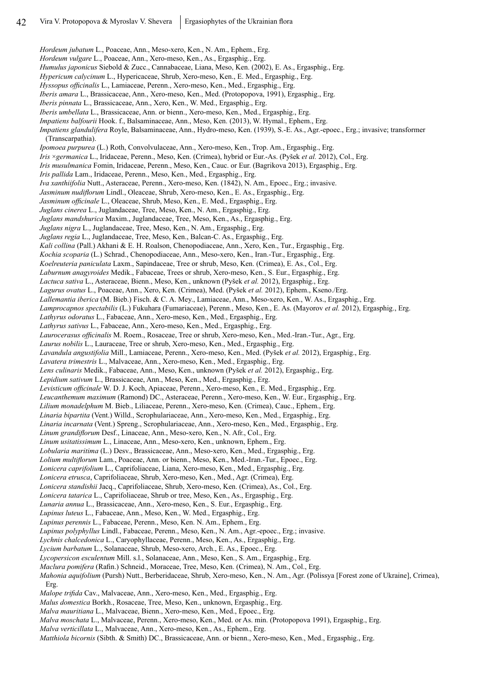*Hordeum jubatum* L., Poaceae, Ann., Meso-xero, Ken., N. Am., Ephem., Erg.

*Hordeum vulgare* L., Poaceae, Ann., Xero-meso, Ken., As., Ergasphig., Erg.

*Humulus japonicus* Siebold & Zucc., Cannabaceae, Liana, Meso, Ken. (2002), E. As., Ergasphig., Erg.

*Hypericum calycinum* L., Hypericaceae, Shrub, Xero-meso, Ken., E. Med., Ergasphig., Erg.

- *Hyssopus officinalis* L., Lamiaceae, Perenn., Xero-meso, Ken., Med., Ergasphig., Erg.
- *Iberis amara* L., Brassicaceae, Ann., Xero-meso, Ken., Med. (Protopopova, 1991), Ergasphig., Erg.
- *Iberis pinnata* L., Brassicaceae, Ann., Xero, Ken., W. Med., Ergasphig., Erg.
- *Iberis umbellata* L., Brassicaceae, Ann. or bienn., Xero-meso, Ken., Med., Ergasphig., Erg.
- *Impatiens balfourii* Hook. f., Balsaminaceae, Ann., Meso, Ken. (2013), W. Hymal., Ephem., Erg.

*Impatiens glandulifera* Royle, Balsaminaceae, Ann., Hydro-meso, Ken. (1939), S.-E. As., Agr.-epoec., Erg.; invasive; transformer (Transcarpathia).

- Ipomoea purpurea (L.) Roth, Convolvulaceae, Ann., Xero-meso, Ken., Trop. Am., Ergasphig., Erg.
- *Iris* ×*germanica* L., Iridaceae, Perenn., Meso, Ken. (Crimea), hybrid or Eur.-As. (Pyšek et al. 2012), Col., Erg.
- *Iris musulmanica* Fomin, Iridaceae, Perenn., Meso, Ken., Cauc. or Eur. (Bagrikova 2013), Ergasphig., Erg.
- *Iris pallida* Lam., Iridaceae, Perenn., Meso, Ken., Med., Ergasphig., Erg.
- *Iva xanthiifolia* Nutt., Asteraceae, Perenn., Xero-meso, Ken. (1842), N. Am., Epoec., Erg.; invasive.
- *Jasminum nudiflorum* Lindl., Oleaceae, Shrub, Xero-meso, Ken., E. As., Ergasphig., Erg.
- *Jasminum officinale L., Oleaceae, Shrub, Meso, Ken., E. Med., Ergasphig., Erg.*
- *Juglans cinerea* L., Juglandaceae, Tree, Meso, Ken., N. Am., Ergasphig., Erg.
- *Juglans mandshurica* Maxim., Juglandaceae, Tree, Meso, Ken., As., Ergasphig., Erg.
- Juglans nigra L., Juglandaceae, Tree, Meso, Ken., N. Am., Ergasphig., Erg.
- *Juglans regia* L., Juglandaceae, Tree, Meso, Ken., Balcan-C. As., Ergasphig., Erg.
- Kali collina (Pall.) Akhani & E. H. Roalson, Chenopodiaceae, Ann., Xero, Ken., Tur., Ergasphig., Erg.
- Kochia scoparia (L.) Schrad., Chenopodiaceae, Ann., Meso-xero, Ken., Iran.-Tur., Ergasphig., Erg.
- *Koelreuteria paniculata* Laxm., Sapindaceae, Tree or shrub, Meso, Ken. (Crimea), E. As., Col., Erg.
- *Laburnum anagyroides* Medik., Fabaceae, Trees or shrub, Xero-meso, Ken., S. Eur., Ergasphig., Erg.
- *Lactuca sativa* L., Asteraceae, Bienn., Meso, Ken., unknown (Pyšek *et al.* 2012), Ergasphig., Erg.
- *Lagurus ovatus* L., Poaceae, Ann., Xero, Ken. (Crimea), Med. (Pyšek *et al.* 2012), Ephem., Kseno./Erg.
- Lallemantia iberica (M. Bieb.) Fisch. & C. A. Mey., Lamiaceae, Ann., Meso-xero, Ken., W. As., Ergasphig., Erg.
- Lamprocapnos spectabilis (L.) Fukuhara (Fumariaceae), Perenn., Meso, Ken., E. As. (Mayorov et al. 2012), Ergasphig., Erg.
- Lathyrus odoratus L., Fabaceae, Ann., Xero-meso, Ken., Med., Ergasphig., Erg.
- Lathyrus sativus L., Fabaceae, Ann., Xero-meso, Ken., Med., Ergasphig., Erg.
- Laurocerasus officinalis M. Roem., Rosaceae, Tree or shrub, Xero-meso, Ken., Med.-Iran.-Tur., Agr., Erg.
- Laurus nobilis L., Lauraceae, Tree or shrub, Xero-meso, Ken., Med., Ergasphig., Erg.
- Lavandula angustifolia Mill., Lamiaceae, Perenn., Xero-meso, Ken., Med. (Pyšek et al. 2012), Ergasphig., Erg.
- Lavatera trimestris L., Malvaceae, Ann., Xero-meso, Ken., Med., Ergasphig., Erg.
- *Lens culinaris* Medik., Fabaceae, Ann., Meso, Ken., unknown (Pyšek *et al.* 2012), Ergasphig., Erg.
- *Lepidium sativum L., Brassicaceae, Ann., Meso, Ken., Med., Ergasphig., Erg.*
- *Levisticum officinale* W. D. J. Koch, Apiaceae, Perenn., Xero-meso, Ken., E. Med., Ergasphig., Erg.
- Leucanthemum maximum (Ramond) DC., Asteraceae, Perenn., Xero-meso, Ken., W. Eur., Ergasphig., Erg.
- *Lilium monadelphum* M. Bieb., Liliaceae, Perenn., Xero-meso, Ken. (Crimea), Cauc., Ephem., Erg.
- Linaria bipartita (Vent.) Willd., Scrophulariaceae, Ann., Xero-meso, Ken., Med., Ergasphig., Erg.
- *Linaria incarnata* (Vent.) Spreng., Scrophulariaceae, Ann., Xero-meso, Ken., Med., Ergasphig., Erg.
- *Linum grandiflorum Desf., Linaceae, Ann., Meso-xero, Ken., N. Afr., Col., Erg.*
- *Linum usitatissimum* L., Linaceae, Ann., Meso-xero, Ken., unknown, Ephem., Erg.
- Lobularia maritima (L.) Desv., Brassicaceae, Ann., Meso-xero, Ken., Med., Ergasphig., Erg.
- *Lolium multiflorum Lam., Poaceae, Ann. or bienn., Meso, Ken., Med.-Iran.-Tur., Epoec., Erg.*
- Lonicera caprifolium L., Caprifoliaceae, Liana, Xero-meso, Ken., Med., Ergasphig., Erg.
- Lonicera etrusca, Caprifoliaceae, Shrub, Xero-meso, Ken., Med., Agr. (Crimea), Erg.
- *Lonicera standishii* Jacq., Caprifoliaceae, Shrub, Xero-meso, Ken. (Crimea), As., Col., Erg.
- *Lonicera tatarica* L., Caprifoliaceae, Shrub or tree, Meso, Ken., As., Ergasphig., Erg.
- *Lunaria annua* L., Brassicaceae, Ann., Xero-meso, Ken., S. Eur., Ergasphig., Erg.
- *Lupinus luteus* L., Fabaceae, Ann., Meso, Ken., W. Med., Ergasphig., Erg.
- *Lupinus perennis* L., Fabaceae, Perenn., Meso, Ken. N. Am., Ephem., Erg.
- *Lupinus polyphyllus* Lindl., Fabaceae, Perenn., Meso, Ken., N. Am., Agr.-epoec., Erg.; invasive.
- *Lychnis chalcedonica* L., Caryophyllaceae, Perenn., Meso. Ken., As., Ergasphig., Erg.
- *Lycium barbatum* L., Solanaceae, Shrub, Meso-xero, Arch., E. As., Epoec., Erg.
- *Lycopersicon esculentum* Mill. s.l., Solanaceae, Ann., Meso, Ken., S. Am., Ergasphig., Erg.
- *Maclura pomifera* (Rafin.) Schneid., Moraceae, Tree, Meso, Ken. (Crimea), N. Am., Col., Erg.
- *Mahonia aquifolium* (Pursh) Nutt., Berberidaceae, Shrub, Xero-meso, Ken., N. Am., Agr. (Polissya [Forest zone of Ukraine], Crimea),
- $E$ r $\sigma$
- *Malope trifida* Cav., Malvaceae, Ann., Xero-meso, Ken., Med., Ergasphig., Erg.
- *Malus domestica* Borkh., Rosaceae, Tree, Meso, Ken., unknown, Ergasphig., Erg.
- *Malva mauritiana* L., Malvaceae, Bienn., Xero-meso, Ken., Med., Epoec., Erg.
- 
- *Malva moschata* L., Malvaceae, Perenn., Xero-meso, Ken., Med. or As. min. (Protopopova 1991), Ergasphig., Erg.
- *Malva verticillata* L., Malvaceae, Ann., Xero-meso, Ken., As., Ephem., Erg.
- *Matthiola bicornis* (Sibth. & Smith) DC., Brassicaceae, Ann. or bienn., Xero-meso, Ken., Med., Ergasphig., Erg.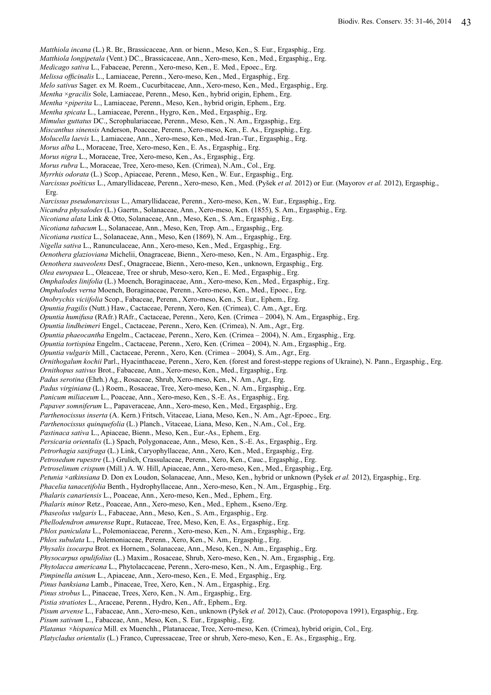*Matthiola incana* (L.) R. Br., Brassicaceae, Ann. or bienn., Meso, Ken., S. Eur., Ergasphig., Erg.

- *Matthiola longipetala* (Vent.) DC., Brassicaceae, Ann., Xero-meso, Ken., Med., Ergasphig., Erg.
- *Medicago sativa* L., Fabaceae, Perenn., Xero-meso, Ken., E. Med., Epoec., Erg.
- *Melissa officinalis* L., Lamiaceae, Perenn., Xero-meso, Ken., Med., Ergasphig., Erg.
- *Melo sativus* Sager. ex M. Roem., Cucurbitaceae, Ann., Xero-meso, Ken., Med., Ergasphig., Erg.
- *Mentha* ×*gracilis* Sole, Lamiaceae, Perenn., Meso, Ken., hybrid origin, Ephem., Erg.
- *Mentha* ×*piperita* L., Lamiaceae, Perenn., Meso, Ken., hybrid origin, Ephem., Erg.
- *Mentha spicata* L., Lamiaceae, Perenn., Hygro, Ken., Med., Ergasphig., Erg.
- *Mimulus guttatus* DC., Scrophulariaceae, Perenn., Meso, Ken., N. Am., Ergasphig., Erg.
- *Miscanthus sinensis* Anderson, Poaceae, Perenn., Xero-meso, Ken., E. As., Ergasphig., Erg.
- *Molucella laevis* L., Lamiaceae, Ann., Xero-meso, Ken., Med.-Iran.-Tur., Ergasphig., Erg.
- *Morus alba* L., Moraceae, Tree, Xero-meso, Ken., E. As., Ergasphig., Erg.
- *Morus nigra* L., Moraceae, Tree, Xero-meso, Ken., As., Ergasphig., Erg.
- *Morus rubra* L., Moraceae, Tree, Xero-meso, Ken. (Crimea), N.Am., Col., Erg.
- *Myrrhis odorata* (L.) Scop., Apiaceae, Perenn., Meso, Ken., W. Eur., Ergasphig., Erg.

*Narcissus poëticus* L., Amaryllidaceae, Perenn., Xero-meso, Ken., Med. (Pyšek *et al.* 2012) or Eur. (Mayorov *et al.* 2012), Ergasphig., Erg.

- *Narcissus pseudonarcissus* L., Amaryllidaceae, Perenn., Xero-meso, Ken., W. Eur., Ergasphig., Erg.
- *Nicandra physalodes* (L.) Gaertn., Solanaceae, Ann., Xero-meso, Ken. (1855), S. Am., Ergasphig., Erg.
- *Nicotiana alata* Link & Otto, Solanaceae, Ann., Meso, Ken., S. Am., Ergasphig., Erg.
- *Nicotiana tabacum L., Solanaceae, Ann., Meso, Ken, Trop. Am.., Ergasphig., Erg.*
- *Nicotiana rustica* L., Solanaceae, Ann., Meso, Ken (1869), N. Am.., Ergasphig., Erg.
- *Nigella sativa* L., Ranunculaceae, Ann., Xero-meso, Ken., Med., Ergasphig., Erg.
- *Oenothera glazioviana* Michelii, Onagraceae, Bienn., Xero-meso, Ken., N. Am., Ergasphig., Erg.
- *Oenothera suaveolens* Desf., Onagraceae, Bienn., Xero-meso, Ken., unknown, Ergasphig., Erg.
- *Olea europaea* L., Oleaceae, Tree or shrub, Meso-xero, Ken., E. Med., Ergasphig., Erg.
- Omphalodes linifolia (L.) Moench, Boraginaceae, Ann., Xero-meso, Ken., Med., Ergasphig., Erg.
- *Omphalodes verna* Moench, Boraginaceae, Perenn., Xero-meso, Ken., Med., Epoec., Erg.
- *Onobrychis viciifolia* Scop., Fabaceae, Perenn., Xero-meso, Ken., S. Eur., Ephem., Erg.
- *Opuntia fragilis* (Nutt.) Haw., Cactaceae, Perenn, Xero, Ken. (Crimea), C. Am., Agr., Erg.
- *Opuntia humifusa* (RAfr.) RAfr., Cactaceae, Perenn., Xero, Ken. (Crimea 2004), N. Am., Ergasphig., Erg.
- *Opuntia lindheimeri* Engel., Cactaceae, Perenn., Xero, Ken. (Crimea), N. Am., Agr., Erg.
- *Opuntia phaeocantha* Engelm., Cactaceae, Perenn., Xero, Ken. (Crimea 2004), N. Am., Ergasphig., Erg.
- *Opuntia tortispina* Engelm., Cactaceae, Perenn., Xero, Ken. (Crimea 2004), N. Am., Ergasphig., Erg.
- *Opuntia vulgaris* Mill., Cactaceae, Perenn., Xero, Ken. (Crimea 2004), S. Am., Agr., Erg.
- *Ornithogalum kochii* Parl., Hyacinthaceae, Perenn., Xero, Ken. (forest and forest-steppe regions of Ukraine), N. Pann., Ergasphig., Erg.
- *Ornithopus sativus* Brot., Fabaceae, Ann., Xero-meso, Ken., Med., Ergasphig., Erg.
- Padus serotina (Ehrh.) Ag., Rosaceae, Shrub, Xero-meso, Ken., N. Am., Agr., Erg.
- *Padus virginiana* (L.) Roem., Rosaceae, Tree, Xero-meso, Ken., N. Am., Ergasphig., Erg.
- *Panicum miliaceum* L., Poaceae, Ann., Xero-meso, Ken., S.-E. As., Ergasphig., Erg.
- *Papaver somniferum* L., Papaveraceae, Ann., Xero-meso, Ken., Med., Ergasphig., Erg.
- Parthenocissus inserta (A. Kern.) Fritsch, Vitaceae, Liana, Meso, Ken., N. Am., Agr.-Epoec., Erg.
- *Parthenocissus quinquefolia* (L.) Planch., Vitaceae, Liana, Meso, Ken., N.Am., Col., Erg.
- Pastinaca sativa L., Apiaceae, Bienn., Meso, Ken., Eur.-As., Ephem., Erg.
- *Persicaria orientalis* (L.) Spach, Polygonaceae, Ann., Meso, Ken., S.-E. As., Ergasphig., Erg.
- *Petrorhagia saxifraga* (L.) Link, Caryophyllaceae, Ann., Xero, Ken., Med., Ergasphig., Erg.
- *Petrosedum rupestre* (L.) Grulich, Crassulaceae, Perenn., Xero, Ken., Cauc., Ergasphig., Erg.
- Petroselinum crispum (Mill.) A. W. Hill, Apiaceae, Ann., Xero-meso, Ken., Med., Ergasphig., Erg.
- Petunia ×*atkinsiana* D. Don ex Loudon, Solanaceae, Ann., Meso, Ken., hybrid or unknown (Pyšek et al. 2012), Ergasphig., Erg.
- *Phacelia tanacetifolia* Benth., Hydrophyllaceae, Ann., Xero-meso, Ken., N. Am., Ergasphig., Erg.
- *Phalaris canariensis* L., Poaceae, Ann., Xero-meso, Ken., Med., Ephem., Erg.
- *Phalaris minor* Retz., Poaceae, Ann., Xero-meso, Ken., Med., Ephem., Kseno./Erg.
- *Phaseolus vulgaris* L., Fabaceae, Ann., Meso, Ken., S. Am., Ergasphig., Erg.
- *Phellodendron amurense Rupr., Rutaceae, Tree, Meso, Ken, E. As., Ergasphig., Erg.*
- *Phlox paniculata* L., Polemoniaceae, Perenn., Xero-meso, Ken., N. Am., Ergasphig., Erg.
- *Phlox subulata* L., Polemoniaceae, Perenn., Xero, Ken., N. Am., Ergasphig., Erg.
- *Physalis ixocarpa* Brot. ex Hornem., Solanaceae, Ann., Meso, Ken., N. Am., Ergasphig., Erg.
- *Physocarpus opulifolius* (L.) Maxim., Rosaceae, Shrub, Xero-meso, Ken., N. Am., Ergasphig., Erg.
- *Phytolacca americana* L., Phytolaccaceae, Perenn., Xero-meso, Ken., N. Am., Ergasphig., Erg.
- *Pimpinella anisum* L., Apiaceae, Ann., Xero-meso, Ken., E. Med., Ergasphig., Erg.
- *Pinus banksiana* Lamb., Pinaceae, Tree, Xero, Ken., N. Am., Ergasphig., Erg.
- Pinus strobus L., Pinaceae, Trees, Xero, Ken., N. Am., Ergasphig., Erg.
- *Pistia stratiotes* L., Araceae, Perenn., Hydro, Ken., Afr., Ephem., Erg.
- Pisum arvense L., Fabaceae, Ann., Xero-meso, Ken., unknown (Pyšek *et al.* 2012), Cauc. (Protopopova 1991), Ergasphig., Erg.
- *Pisum sativum* L., Fabaceae, Ann., Meso, Ken., S. Eur., Ergasphig., Erg.
- *Platanus ×hispanica* Mill. ex Muenchh., Platanaceae, Tree, Xero-meso, Ken. (Crimea), hybrid origin, Col., Erg.
- *Platycladus orientalis* (L.) Franco, Cupressaceae, Tree or shrub, Xero-meso, Ken., E. As., Ergasphig., Erg.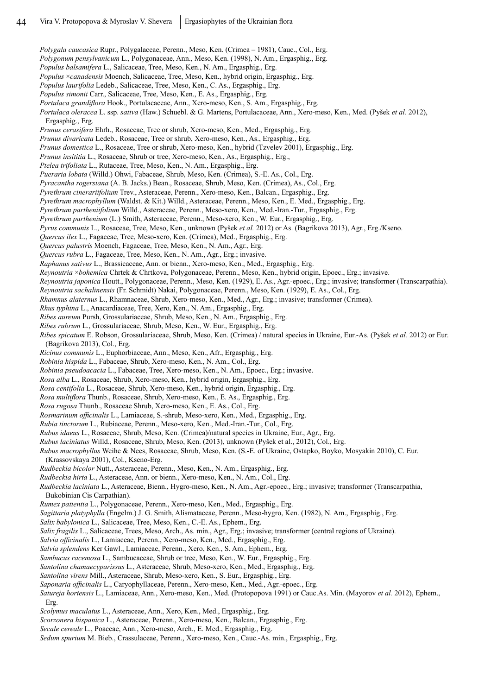Polygala caucasica Rupr., Polygalaceae, Perenn., Meso, Ken. (Crimea - 1981), Cauc., Col., Erg.

- *Polygonum pensylvanicum* L., Polygonaceae, Ann., Meso, Ken. (1998), N. Am., Ergasphig., Erg.
- *Populus balsamifera* L., Salicaceae, Tree, Meso, Ken., N. Am., Ergasphig., Erg.
- *Populus* ×*canadensis* Moench, Salicaceae, Tree, Meso, Ken., hybrid origin, Ergasphig., Erg.
- *Populus laurifolia* Ledeb., Salicaceae, Tree, Meso, Ken., C. As., Ergasphig., Erg.
- *Populus simonii* Carr., Salicaceae, Tree, Meso, Ken., E. As., Ergasphig., Erg.
- Portulaca grandiflora Hook., Portulacaceae, Ann., Xero-meso, Ken., S. Am., Ergasphig., Erg.

Portulaca oleracea L. ssp. sativa (Haw.) Schuebl. & G. Martens, Portulacaceae, Ann., Xero-meso, Ken., Med. (Pyšek et al. 2012), Ergasphig., Erg.

- *Prunus cerasifera* Ehrh., Rosaceae, Tree or shrub, Xero-meso, Ken., Med., Ergasphig., Erg.
- *Prunus divaricata* Ledeb., Rosaceae, Tree or shrub, Xero-meso, Ken., As., Ergasphig., Erg.
- *Prunus domestica* L., Rosaceae, Tree or shrub, Xero-meso, Ken., hybrid (Tzvelev 2001), Ergasphig., Erg.
- *Prunus insititia* L., Rosaceae, Shrub or tree, Xero-meso, Ken., As., Ergasphig., Erg.,
- *Ptelea trifoliata* L., Rutaceae, Tree, Meso, Ken., N. Am., Ergasphig., Erg.
- Pueraria lobata (Willd.) Ohwi, Fabaceae, Shrub, Meso, Ken. (Crimea), S.-E. As., Col., Erg.
- *Pyracantha rogersiana* (A. B. Jacks.) Bean., Rosaceae, Shrub, Meso, Ken. (Crimea), As., Col., Erg.
- *Pyrethrum cinerariifolium* Trev., Asteraceae, Perenn., Xero-meso, Ken., Balcan., Ergasphig., Erg.
- *Pyrethrum macrophyllum* (Waldst. & Kit.) Willd., Asteraceae, Perenn., Meso, Ken., E. Med., Ergasphig., Erg.
- *Pyrethrum partheniifolium* Willd., Asteraceae, Perenn., Meso-xero, Ken., Med.-Iran.-Tur., Ergasphig., Erg.
- *Pyrethrum parthenium* (L.) Smith, Asteraceae, Perenn., Meso-xero, Ken., W. Eur., Ergasphig., Erg.
- Pyrus communis L., Rosaceae, Tree, Meso, Ken., unknown (Pyšek et al. 2012) or As. (Bagrikova 2013), Agr., Erg./Kseno.
- *Quercus ilex L., Fagaceae, Tree, Meso-xero, Ken. (Crimea), Med., Ergasphig., Erg.*
- *Quercus palustris* Moench, Fagaceae, Tree, Meso, Ken., N. Am., Agr., Erg.
- *Quercus rubra* L., Fagaceae, Tree, Meso, Ken., N. Am., Agr., Erg.; invasive.
- *Raphanus sativus* L., Brassicaceae, Ann. or bienn., Xero-meso, Ken., Med., Ergasphig., Erg.
- *Reynoutria* ×*bohemica* Chrtek & Chrtkova, Polygonaceae, Perenn., Meso, Ken., hybrid origin, Epoec., Erg.; invasive.
- Reynoutria japonica Houtt., Polygonaceae, Perenn., Meso, Ken. (1929), E. As., Agr.-epoec., Erg.; invasive; transformer (Transcarpathia).
- *Reynoutria sachalinensis* (Fr. Schmidt) Nakai, Polygonaceae, Perenn., Meso, Ken. (1929), E. As., Col., Erg.
- *Rhamnus alaternus* L., Rhamnaceae, Shrub, Xero-meso, Ken., Med., Agr., Erg.; invasive; transformer (Crimea).
- *Rhus typhina* L., Anacardiaceae, Tree, Xero, Ken., N. Am., Ergasphig., Erg.
- *Ribes aureum* Pursh, Grossulariaceae, Shrub, Meso, Ken., N. Am., Ergasphig., Erg.
- *Ribes rubrum* L., Grossulariaceae, Shrub, Meso, Ken., W. Eur., Ergasphig., Erg.
- *Ribes spicatum* E. Robson, Grossulariaceae, Shrub, Meso, Ken. (Crimea) / natural species in Ukraine, Eur.-As. (Pyšek et al. 2012) or Eur. (Bagrikova 2013), Col., Erg.
- *Ricinus communis* L., Euphorbiaceae, Ann., Meso, Ken., Afr., Ergasphig., Erg.
- *Robinia hispida* L., Fabaceae, Shrub, Xero-meso, Ken., N. Am., Col., Erg.
- *Robinia pseudoacacia* L., Fabaceae, Tree, Xero-meso, Ken., N. Am., Epoec., Erg.; invasive.
- *Rosa alba* L., Rosaceae, Shrub, Xero-meso, Ken., hybrid origin, Ergasphig., Erg.
- *Rosa centifolia* L., Rosaceae, Shrub, Xero-meso, Ken., hybrid origin, Ergasphig., Erg.
- *Rosa multiflora* Thunb., Rosaceae, Shrub, Xero-meso, Ken., E. As., Ergasphig., Erg.
- *Rosa rugosa* Thunb., Rosaceae Shrub, Xero-meso, Ken., E. As., Col., Erg.
- *Rosmarinum officinalis L., Lamiaceae, S.-shrub, Meso-xero, Ken., Med., Ergasphig., Erg.*
- *Rubia tinctorum* L., Rubiaceae, Perenn., Meso-xero, Ken., Med.-Iran.-Tur., Col., Erg.
- *Rubus idaeus* L., Rosaceae, Shrub, Meso, Ken. (Crimea)/natural species in Ukraine, Eur., Agr., Erg.
- *Rubus laciniatus* Willd., Rosaceae, Shrub, Meso, Ken. (2013), unknown (Pyšek et al., 2012), Col., Erg.
- *Rubus macrophyllus* Weihe & Nees, Rosaceae, Shrub, Meso, Ken. (S.-E. of Ukraine, Ostapko, Boyko, Mosyakin 2010), C. Eur. (Krassovskaya 2001), Col., Kseno-Erg.
- *Rudbeckia bicolor* Nutt., Asteraceae, Perenn., Meso, Ken., N. Am., Ergasphig., Erg.
- *Rudbeckia hirta* L., Asteraceae, Ann. or bienn., Xero-meso, Ken., N. Am., Col., Erg.

*Rudbeckia laciniata* L., Asteraceae, Bienn., Hygro-meso, Ken., N. Am., Agr.-epoec., Erg.; invasive; transformer (Transcarpathia, Bukobinian Cis Carpathian

- *Rumex patientia* L., Polygonaceae, Perenn., Xero-meso, Ken., Med., Ergasphig., Erg.
- Sagittaria platyphylla (Engelm.) J. G. Smith, Alismataceae, Perenn., Meso-hygro, Ken. (1982), N. Am., Ergasphig., Erg.
- *Salix babylonica* L., Salicaceae, Tree, Meso, Ken., C.-E. As., Ephem., Erg.
- *Salix fragilis* L., Salicaceae, Trees, Meso, Arch., As. min., Agr., Erg.; invasive; transformer (central regions of Ukraine).
- *Salvia officinalis* L., Lamiaceae, Perenn., Xero-meso, Ken., Med., Ergasphig., Erg.
- *Salvia splendens* Ker Gawl., Lamiaceae, Perenn., Xero, Ken., S. Am., Ephem., Erg.
- *Sambucus racemosa* L., Sambucaceae, Shrub or tree, Meso, Ken., W. Eur., Ergasphig., Erg.
- Santolina chamaecyparissus L., Asteraceae, Shrub, Meso-xero, Ken., Med., Ergasphig., Erg.
- *Santolina virens* Mill., Asteraceae, Shrub, Meso-xero, Ken., S. Eur., Ergasphig., Erg.
- Saponaria officinalis L., Caryophyllaceae, Perenn., Xero-meso, Ken., Med., Agr.-epoec., Erg.
- Satureja hortensis L., Lamiaceae, Ann., Xero-meso, Ken., Med. (Protopopova 1991) or Cauc.As. Min. (Mayorov et al. 2012), Ephem., Erg.
- *Scolymus maculatus* L., Asteraceae, Ann., Xero, Ken., Med., Ergasphig., Erg.
- *Scorzonera hispanica* L., Asteraceae, Perenn., Xero-meso, Ken., Balcan., Ergasphig., Erg.
- *Secale cereale* L., Poaceae, Ann., Xero-meso, Arch., E. Med., Ergasphig., Erg.
- Sedum spurium M. Bieb., Crassulaceae, Perenn., Xero-meso, Ken., Cauc.-As. min., Ergasphig., Erg.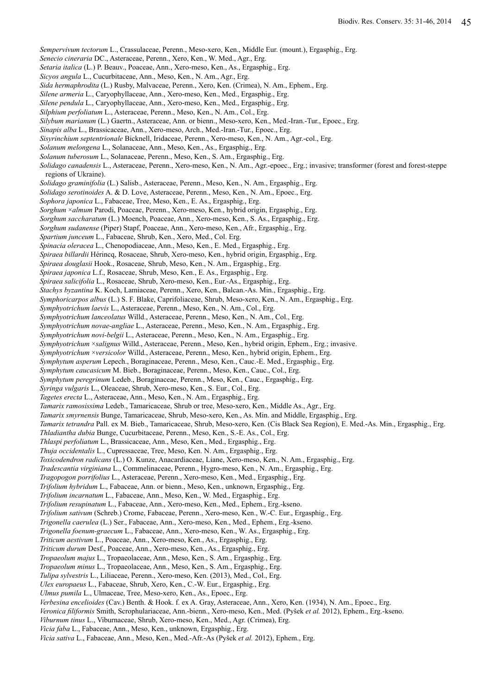Sempervivum tectorum L., Crassulaceae, Perenn., Meso-xero, Ken., Middle Eur. (mount.), Ergasphig., Erg.

- *Senecio cineraria* DC., Asteraceae, Perenn., Xero, Ken., W. Med., Agr., Erg.
- *Setaria italica* (L.) P. Beauv., Poaceae, Ann., Xero-meso, Ken., As., Ergasphig., Erg.
- *Sicyos angula* L., Cucurbitaceae, Ann., Meso, Ken., N. Am., Agr., Erg.
- Sida hermaphrodita (L.) Rusby, Malvaceae, Perenn., Xero, Ken. (Crimea), N. Am., Ephem., Erg.
- *Silene armeria* L., Caryophyllaceae, Ann., Xero-meso, Ken., Med., Ergasphig., Erg.
- Silene pendula L., Caryophyllaceae, Ann., Xero-meso, Ken., Med., Ergasphig., Erg.
- Silphium perfoliatum L., Asteraceae, Perenn., Meso, Ken., N. Am., Col., Erg.
- *Silybum marianum* (L.) Gaertn., Asteraceae, Ann. or bienn., Meso-xero, Ken., Med.-Iran.-Tur., Epoec., Erg.
- *Sinapis alba* L., Brassicaceae, Ann., Xero-meso, Arch., Med.-Iran.-Tur., Epoec., Erg.
- *Sisyrinchium septentrionale* Bicknell, Iridaceae, Perenn., Xero-meso, Ken., N. Am., Agr.-col., Erg.
- *Solanum melongena* L., Solanaceae, Ann., Meso, Ken., As., Ergasphig., Erg.
- *Solanum tuberosum L., Solanaceae, Perenn., Meso, Ken., S. Am., Ergasphig., Erg.*
- *Solidago canadensis* L., Asteraceae, Perenn., Xero-meso, Ken., N. Am., Agr.-epoec., Erg.; invasive; transformer (forest and forest-steppe regions of Ukraine
- *Solidago graminifolia* (L.) Salisb., Asteraceae, Perenn., Meso, Ken., N. Am., Ergasphig., Erg.
- *Solidago serotinoides* A. & D. Love, Asteraceae, Perenn., Meso, Ken., N. Am., Epoec., Erg.
- *Sophora japonica* L., Fabaceae, Tree, Meso, Ken., E. As., Ergasphig., Erg.
- *Sorghum* ×*almum* Parodi, Poaceae, Perenn., Xero-meso, Ken., hybrid origin, Ergasphig., Erg.
- *Sorghum saccharatum* (L.) Moench, Poaceae, Ann., Xero-meso, Ken., S. As., Ergasphig., Erg.
- *Sorghum sudanense* (Piper) Stapf, Poaceae, Ann., Xero-meso, Ken., Afr., Ergasphig., Erg.
- Spartium junceum L., Fabaceae, Shrub, Ken., Xero, Med., Col. Erg.
- Spinacia oleracea L., Chenopodiaceae, Ann., Meso, Ken., E. Med., Ergasphig., Erg.
- *Spiraea billardii* Hérincq, Rosaceae, Shrub, Xero-meso, Ken., hybrid origin, Ergasphig., Erg.
- Spiraea douglasii Hook., Rosaceae, Shrub, Meso, Ken., N. Am., Ergasphig., Erg.
- Spiraea japonica L.f., Rosaceae, Shrub, Meso, Ken., E. As., Ergasphig., Erg.
- Spiraea salicifolia L., Rosaceae, Shrub, Xero-meso, Ken., Eur.-As., Ergasphig., Erg.
- *Stachys byzantina* K. Koch, Lamiaceae, Perenn., Xero, Ken., Balcan.-As. Min., Ergasphig., Erg.
- *Symphoricarpos albus* (L.) S. F. Blake, Caprifoliaceae, Shrub, Meso-xero, Ken., N. Am., Ergasphig., Erg.
- *Symphyotrichum laevis* L., Asteraceae, Perenn., Meso, Ken., N. Am., Col., Erg.
- *Symphyotrichum lanceolatus* Willd., Asteraceae, Perenn., Meso, Ken., N. Am., Col., Erg.
- *Symphyotrichum novae-angliae* L., Asteraceae, Perenn., Meso, Ken., N. Am., Ergasphig., Erg.
- *Symphyotrichum novi-belgii* L., Asteraceae, Perenn., Meso, Ken., N. Am., Ergasphig., Erg.
- $Symphyotrichum \times *salignus* Willd., Asteraceae, Perenn., Meso, Ken., hybrid origin, Ephem., Erg.; invasive.$
- *Symphyotrichum ×versicolor* Willd., Asteraceae, Perenn., Meso, Ken., hybrid origin, Ephem., Erg.
- *Symphytum asperum* Lepech., Boraginaceae, Perenn., Meso, Ken., Cauc.-E. Med., Ergasphig., Erg.
- *Symphytum caucasicum* M. Bieb., Boraginaceae, Perenn., Meso, Ken., Cauc., Col., Erg.
- *Symphytum peregrinum* Ledeb., Boraginaceae, Perenn., Meso, Ken., Cauc., Ergasphig., Erg.
- *Syringa vulgaris* L., Oleaceae, Shrub, Xero-meso, Ken., S. Eur., Col., Erg.
- *Tagetes erecta* L., Asteraceae, Ann., Meso, Ken., N. Am., Ergasphig., Erg.
- *Tamarix ramosissima* Ledeb, Tamaricaceae, Shrub or tree, Meso-xero, Ken., Middle As., Agr., Erg.
- *Tamarix smyrnensis* Bunge, Tamaricaceae, Shrub, Meso-xero, Ken., As. Min. and Middle, Ergasphig., Erg.
- *Tamarix tetrandra* Pall. ex M. Bieb., Tamaricaceae, Shrub, Meso-xero, Ken. (Cis Black Sea Region), E. Med.-As. Min., Ergasphig., Erg.
- *Thladiantha dubia* Bunge, Cucurbitaceae, Perenn., Meso, Ken., S.-E. As., Col., Erg.
- *Thlaspi perfoliatum* L., Brassicaceae, Ann., Meso, Ken., Med., Ergasphig., Erg.
- *Thuja occidentalis* L., Cupressaceae, Tree, Meso, Ken. N. Am., Ergasphig., Erg.
- Toxicodendron radicans (L.) O. Kunze, Anacardiaceae, Liane, Xero-meso, Ken., N. Am., Ergasphig., Erg.
- *Tradescantia virginiana* L., Commelinaceae, Perenn., Hygro-meso, Ken., N. Am., Ergasphig., Erg.
- *Tragopogon porrifolius* L., Asteraceae, Perenn., Xero-meso, Ken., Med., Ergasphig., Erg.
- *Trifolium hybridum* L., Fabaceae, Ann. or bienn., Meso, Ken., unknown, Ergasphig., Erg.
- *Trifolium incarnatum* L., Fabaceae, Ann., Meso, Ken., W. Med., Ergasphig., Erg.
- *Trifolium resupinatum* L., Fabaceae, Ann., Xero-meso, Ken., Med., Ephem., Erg.-kseno.
- *Trifolium sativum* (Schreb.) Crome, Fabaceae, Perenn., Xero-meso, Ken., W.-C. Eur., Ergasphig., Erg.
- *Trigonella caerulea* (L.) Ser., Fabaceae, Ann., Xero-meso, Ken., Med., Ephem., Erg.-kseno.
- *Trigonella foenum-graecum* L., Fabaceae, Ann., Xero-meso, Ken., W. As., Ergasphig., Erg.
- *Triticum aestivum* L., Poaceae, Ann., Xero-meso, Ken., As., Ergasphig., Erg.
- *Triticum durum Desf., Poaceae, Ann., Xero-meso, Ken., As., Ergasphig., Erg.*
- *Tropaeolum majus* L., Tropaeolaceae, Ann., Meso, Ken., S. Am., Ergasphig., Erg.
- *Tropaeolum minus* L., Tropaeolaceae, Ann., Meso, Ken., S. Am., Ergasphig., Erg.
- *Tulipa sylvestris* L., Liliaceae, Perenn., Xero-meso, Ken. (2013), Med., Col., Erg.
- *Ulex europaeus* L., Fabaceae, Shrub, Xero, Ken., C.-W. Eur., Ergasphig., Erg.
- *Ulmus pumila* L., Ulmaceae, Tree, Meso-xero, Ken., As., Epoec., Erg.
- Verbesina encelioides (Cav.) Benth. & Hook. f. ex A. Gray, Asteraceae, Ann., Xero, Ken. (1934), N. Am., Epoec., Erg.
- *Veronica filiformis* Smith, Scrophulariaceae, Ann.-bienn., Xero-meso, Ken., Med. (Pyšek *et al.* 2012), Ephem., Erg.-kseno.
- *Viburnum tinus* L., Viburnaceae, Shrub, Xero-meso, Ken., Med., Agr. (Crimea), Erg.
- *Vicia faba* L., Fabaceae, Ann., Meso, Ken., unknown, Ergasphig., Erg.
- Vicia sativa L., Fabaceae, Ann., Meso, Ken., Med.-Afr.-As (Pyšek et al. 2012), Ephem., Erg.